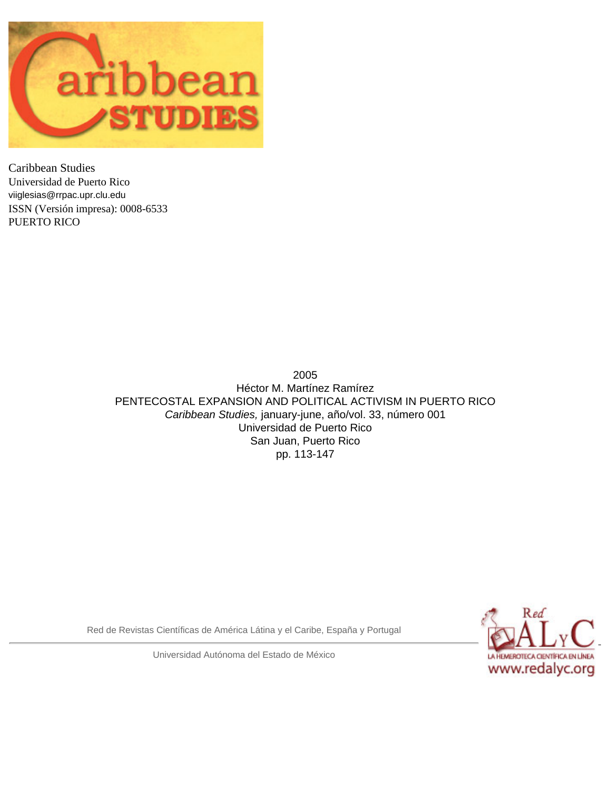

Caribbean Studies Universidad de Puerto Rico [viiglesias@rrpac.upr.clu.edu](mailto:viiglesias@rrpac.upr.clu.edu) ISSN (Versión impresa): 0008-6533 PUERTO RICO

> 2005 Héctor M. Martínez Ramírez PENTECOSTAL EXPANSION AND POLITICAL ACTIVISM IN PUERTO RICO *Caribbean Studies,* january-june, año/vol. 33, número 001 Universidad de Puerto Rico San Juan, Puerto Rico pp. 113-147

Red de Revistas Científicas de América Látina y el Caribe, España y Portugal



Universidad Autónoma del Estado de México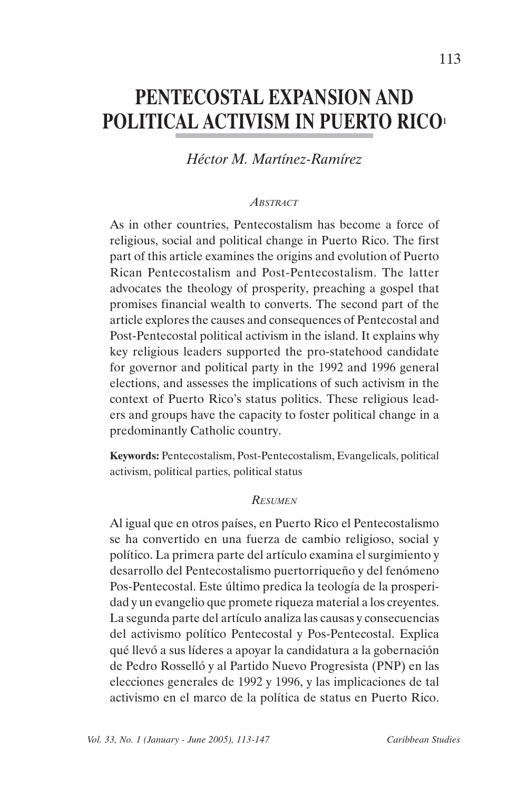# **PENTECOSTAL EXPANSION AND POLITICAL ACTIVISM IN PUERTO RICO1**

### *Héctor M. Martínez-Ramírez*

#### *ABSTRACT*

As in other countries, Pentecostalism has become a force of religious, social and political change in Puerto Rico. The first part of this article examines the origins and evolution of Puerto Rican Pentecostalism and Post-Pentecostalism. The latter advocates the theology of prosperity, preaching a gospel that promises financial wealth to converts. The second part of the article explores the causes and consequences of Pentecostal and Post-Pentecostal political activism in the island. It explains why key religious leaders supported the pro-statehood candidate for governor and political party in the 1992 and 1996 general elections, and assesses the implications of such activism in the context of Puerto Rico's status politics. These religious leaders and groups have the capacity to foster political change in a predominantly Catholic country.

**Keywords:** Pentecostalism, Post-Pentecostalism, Evangelicals, political activism, political parties, political status

#### *RESUMEN*

Al igual que en otros países, en Puerto Rico el Pentecostalismo se ha convertido en una fuerza de cambio religioso, social y político. La primera parte del artículo examina el surgimiento y desarrollo del Pentecostalismo puertorriqueño y del fenómeno Pos-Pentecostal. Este último predica la teología de la prosperidad y un evangelio que promete riqueza material a los creyentes. La segunda parte del artículo analiza las causas y consecuencias del activismo político Pentecostal y Pos-Pentecostal. Explica qué llevó a sus líderes a apoyar la candidatura a la gobernación de Pedro Rosselló y al Partido Nuevo Progresista (PNP) en las elecciones generales de 1992 y 1996, y las implicaciones de tal activismo en el marco de la política de status en Puerto Rico.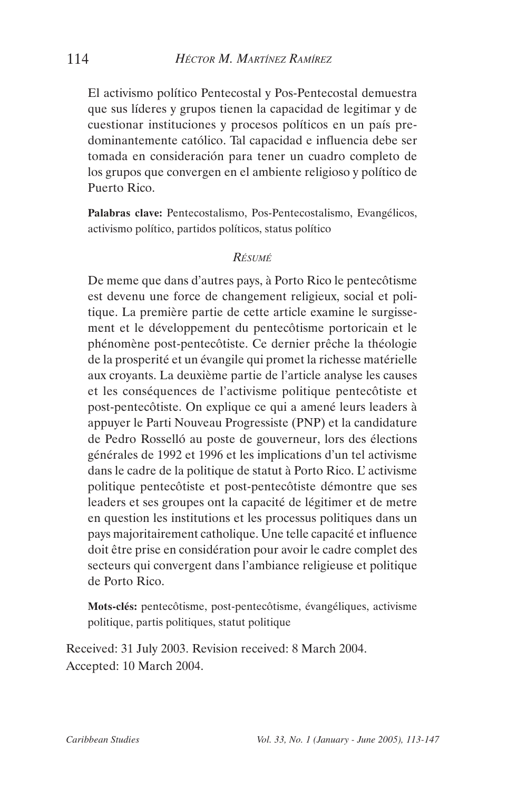El activismo político Pentecostal y Pos-Pentecostal demuestra que sus líderes y grupos tienen la capacidad de legitimar y de cuestionar instituciones y procesos políticos en un país predominantemente católico. Tal capacidad e influencia debe ser tomada en consideración para tener un cuadro completo de los grupos que convergen en el ambiente religioso y político de Puerto Rico.

**Palabras clave:** Pentecostalismo, Pos-Pentecostalismo, Evangélicos, activismo político, partidos políticos, status político

#### *RÉSUMÉ*

De meme que dans d'autres pays, à Porto Rico le pentecôtisme est devenu une force de changement religieux, social et politique. La première partie de cette article examine le surgissement et le développement du pentecôtisme portoricain et le phénomène post-pentecôtiste. Ce dernier prêche la théologie de la prosperité et un évangile qui promet la richesse matérielle aux croyants. La deuxième partie de l'article analyse les causes et les conséquences de l'activisme politique pentecôtiste et post-pentecôtiste. On explique ce qui a amené leurs leaders à appuyer le Parti Nouveau Progressiste (PNP) et la candidature de Pedro Rosselló au poste de gouverneur, lors des élections générales de 1992 et 1996 et les implications d'un tel activisme dans le cadre de la politique de statut à Porto Rico. L' activisme politique pentecôtiste et post-pentecôtiste démontre que ses leaders et ses groupes ont la capacité de légitimer et de metre en question les institutions et les processus politiques dans un pays majoritairement catholique. Une telle capacité et influence doit être prise en considération pour avoir le cadre complet des secteurs qui convergent dans l'ambiance religieuse et politique de Porto Rico.

**Mots-clés:** pentecôtisme, post-pentecôtisme, évangéliques, activisme politique, partis politiques, statut politique

Received: 31 July 2003. Revision received: 8 March 2004. Accepted: 10 March 2004.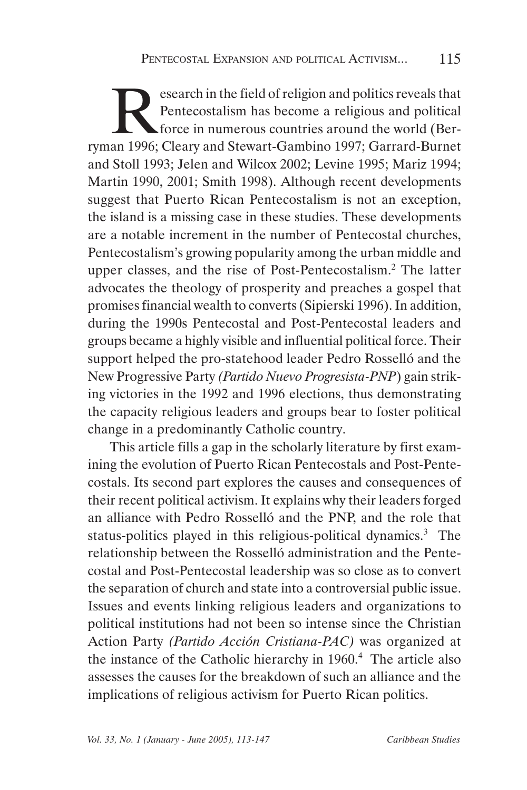Experience in the field of religion and politics reveals that<br>
Pentecostalism has become a religious and political<br>
force in numerous countries around the world (Ber-<br>
an 1996: Cleary and Stewart-Gambino 1997: Garrard-Burn Pentecostalism has become a religious and political  $\blacktriangle$  force in numerous countries around the world (Berryman 1996; Cleary and Stewart-Gambino 1997; Garrard-Burnet and Stoll 1993; Jelen and Wilcox 2002; Levine 1995; Mariz 1994; Martin 1990, 2001; Smith 1998). Although recent developments suggest that Puerto Rican Pentecostalism is not an exception, the island is a missing case in these studies. These developments are a notable increment in the number of Pentecostal churches, Pentecostalism's growing popularity among the urban middle and upper classes, and the rise of Post-Pentecostalism.<sup>2</sup> The latter advocates the theology of prosperity and preaches a gospel that promises financial wealth to converts (Sipierski 1996). In addition, during the 1990s Pentecostal and Post-Pentecostal leaders and groups became a highly visible and influential political force. Their support helped the pro-statehood leader Pedro Rosselló and the New Progressive Party *(Partido Nuevo Progresista-PNP*) gain striking victories in the 1992 and 1996 elections, thus demonstrating the capacity religious leaders and groups bear to foster political change in a predominantly Catholic country.

This article fills a gap in the scholarly literature by first examining the evolution of Puerto Rican Pentecostals and Post-Pentecostals. Its second part explores the causes and consequences of their recent political activism. It explains why their leaders forged an alliance with Pedro Rosselló and the PNP, and the role that status-politics played in this religious-political dynamics.<sup>3</sup> The relationship between the Rosselló administration and the Pentecostal and Post-Pentecostal leadership was so close as to convert the separation of church and state into a controversial public issue. Issues and events linking religious leaders and organizations to political institutions had not been so intense since the Christian Action Party *(Partido Acción Cristiana-PAC)* was organized at the instance of the Catholic hierarchy in 1960.<sup>4</sup> The article also assesses the causes for the breakdown of such an alliance and the implications of religious activism for Puerto Rican politics.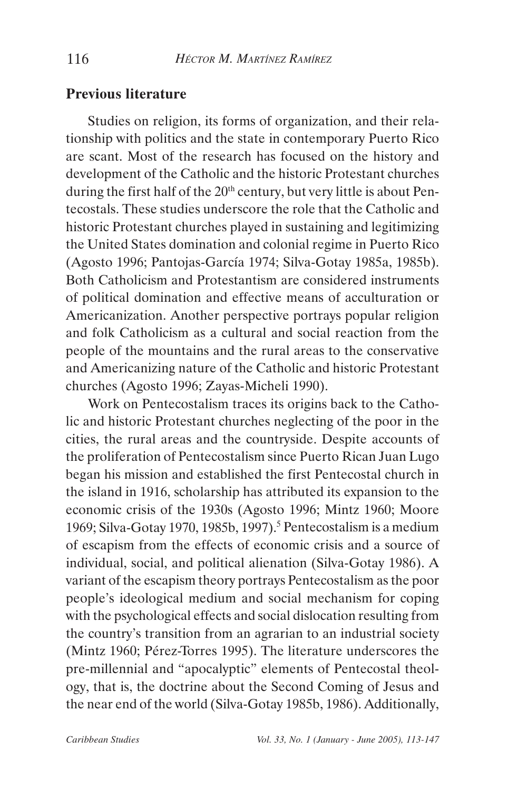#### **Previous literature**

Studies on religion, its forms of organization, and their relationship with politics and the state in contemporary Puerto Rico are scant. Most of the research has focused on the history and development of the Catholic and the historic Protestant churches during the first half of the  $20<sup>th</sup>$  century, but very little is about Pentecostals. These studies underscore the role that the Catholic and historic Protestant churches played in sustaining and legitimizing the United States domination and colonial regime in Puerto Rico (Agosto 1996; Pantojas-García 1974; Silva-Gotay 1985a, 1985b). Both Catholicism and Protestantism are considered instruments of political domination and effective means of acculturation or Americanization. Another perspective portrays popular religion and folk Catholicism as a cultural and social reaction from the people of the mountains and the rural areas to the conservative and Americanizing nature of the Catholic and historic Protestant churches (Agosto 1996; Zayas-Micheli 1990).

Work on Pentecostalism traces its origins back to the Catholic and historic Protestant churches neglecting of the poor in the cities, the rural areas and the countryside. Despite accounts of the proliferation of Pentecostalism since Puerto Rican Juan Lugo began his mission and established the first Pentecostal church in the island in 1916, scholarship has attributed its expansion to the economic crisis of the 1930s (Agosto 1996; Mintz 1960; Moore 1969; Silva-Gotay 1970, 1985b, 1997).<sup>5</sup> Pentecostalism is a medium of escapism from the effects of economic crisis and a source of individual, social, and political alienation (Silva-Gotay 1986). A variant of the escapism theory portrays Pentecostalism as the poor people's ideological medium and social mechanism for coping with the psychological effects and social dislocation resulting from the country's transition from an agrarian to an industrial society (Mintz 1960; Pérez-Torres 1995). The literature underscores the pre-millennial and "apocalyptic" elements of Pentecostal theology, that is, the doctrine about the Second Coming of Jesus and the near end of the world (Silva-Gotay 1985b, 1986). Additionally,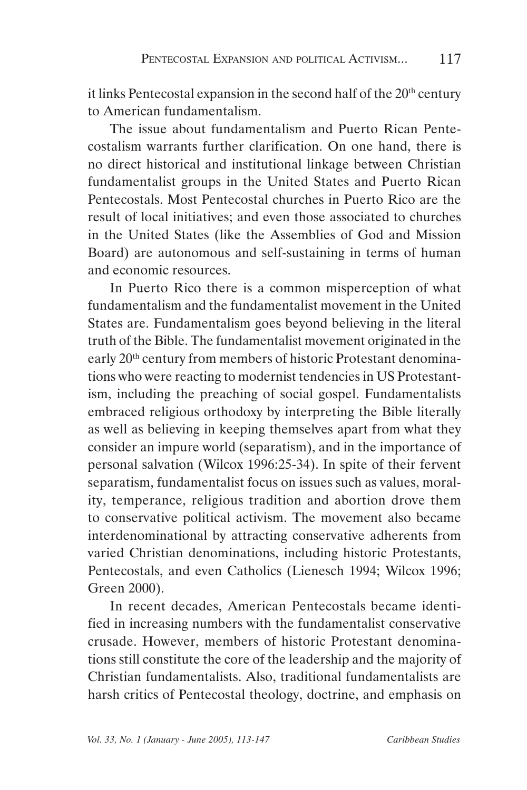it links Pentecostal expansion in the second half of the 20<sup>th</sup> century to American fundamentalism.

The issue about fundamentalism and Puerto Rican Pentecostalism warrants further clarification. On one hand, there is no direct historical and institutional linkage between Christian fundamentalist groups in the United States and Puerto Rican Pentecostals. Most Pentecostal churches in Puerto Rico are the result of local initiatives; and even those associated to churches in the United States (like the Assemblies of God and Mission Board) are autonomous and self-sustaining in terms of human and economic resources.

In Puerto Rico there is a common misperception of what fundamentalism and the fundamentalist movement in the United States are. Fundamentalism goes beyond believing in the literal truth of the Bible. The fundamentalist movement originated in the early 20th century from members of historic Protestant denominations who were reacting to modernist tendencies in US Protestantism, including the preaching of social gospel. Fundamentalists embraced religious orthodoxy by interpreting the Bible literally as well as believing in keeping themselves apart from what they consider an impure world (separatism), and in the importance of personal salvation (Wilcox 1996:25-34). In spite of their fervent separatism, fundamentalist focus on issues such as values, morality, temperance, religious tradition and abortion drove them to conservative political activism. The movement also became interdenominational by attracting conservative adherents from varied Christian denominations, including historic Protestants, Pentecostals, and even Catholics (Lienesch 1994; Wilcox 1996; Green 2000).

In recent decades, American Pentecostals became identified in increasing numbers with the fundamentalist conservative crusade. However, members of historic Protestant denominations still constitute the core of the leadership and the majority of Christian fundamentalists. Also, traditional fundamentalists are harsh critics of Pentecostal theology, doctrine, and emphasis on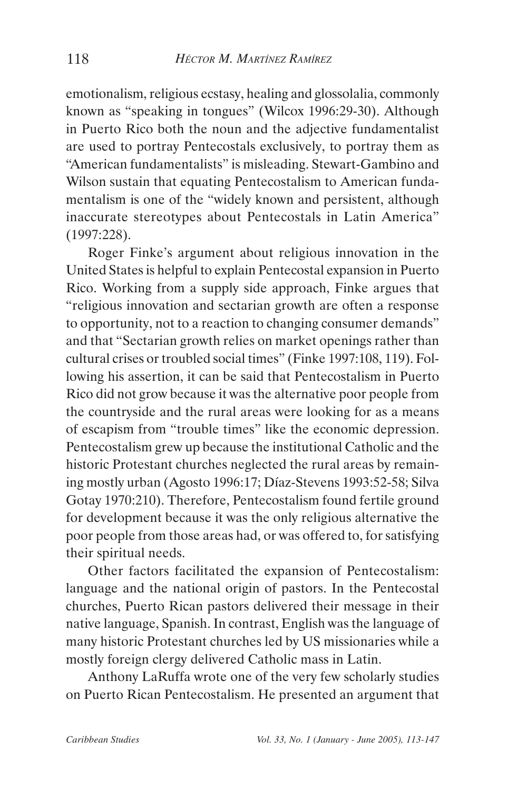emotionalism, religious ecstasy, healing and glossolalia, commonly known as "speaking in tongues" (Wilcox 1996:29-30). Although in Puerto Rico both the noun and the adjective fundamentalist are used to portray Pentecostals exclusively, to portray them as "American fundamentalists" is misleading. Stewart-Gambino and Wilson sustain that equating Pentecostalism to American fundamentalism is one of the "widely known and persistent, although inaccurate stereotypes about Pentecostals in Latin America" (1997:228).

Roger Finke's argument about religious innovation in the United States is helpful to explain Pentecostal expansion in Puerto Rico. Working from a supply side approach, Finke argues that "religious innovation and sectarian growth are often a response to opportunity, not to a reaction to changing consumer demands" and that "Sectarian growth relies on market openings rather than cultural crises or troubled social times" (Finke 1997:108, 119). Following his assertion, it can be said that Pentecostalism in Puerto Rico did not grow because it was the alternative poor people from the countryside and the rural areas were looking for as a means of escapism from "trouble times" like the economic depression. Pentecostalism grew up because the institutional Catholic and the historic Protestant churches neglected the rural areas by remaining mostly urban (Agosto 1996:17; Díaz-Stevens 1993:52-58; Silva Gotay 1970:210). Therefore, Pentecostalism found fertile ground for development because it was the only religious alternative the poor people from those areas had, or was offered to, for satisfying their spiritual needs.

Other factors facilitated the expansion of Pentecostalism: language and the national origin of pastors. In the Pentecostal churches, Puerto Rican pastors delivered their message in their native language, Spanish. In contrast, English was the language of many historic Protestant churches led by US missionaries while a mostly foreign clergy delivered Catholic mass in Latin.

Anthony LaRuffa wrote one of the very few scholarly studies on Puerto Rican Pentecostalism. He presented an argument that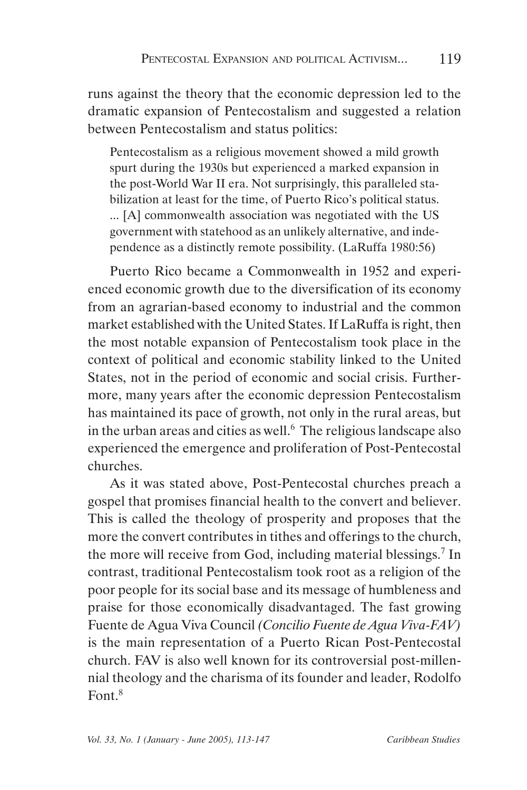runs against the theory that the economic depression led to the dramatic expansion of Pentecostalism and suggested a relation between Pentecostalism and status politics:

Pentecostalism as a religious movement showed a mild growth spurt during the 1930s but experienced a marked expansion in the post-World War II era. Not surprisingly, this paralleled stabilization at least for the time, of Puerto Rico's political status. ... [A] commonwealth association was negotiated with the US government with statehood as an unlikely alternative, and independence as a distinctly remote possibility. (LaRuffa 1980:56)

Puerto Rico became a Commonwealth in 1952 and experienced economic growth due to the diversification of its economy from an agrarian-based economy to industrial and the common market established with the United States. If LaRuffa is right, then the most notable expansion of Pentecostalism took place in the context of political and economic stability linked to the United States, not in the period of economic and social crisis. Furthermore, many years after the economic depression Pentecostalism has maintained its pace of growth, not only in the rural areas, but in the urban areas and cities as well.<sup>6</sup> The religious landscape also experienced the emergence and proliferation of Post-Pentecostal churches.

As it was stated above, Post-Pentecostal churches preach a gospel that promises financial health to the convert and believer. This is called the theology of prosperity and proposes that the more the convert contributes in tithes and offerings to the church, the more will receive from God, including material blessings.7 In contrast, traditional Pentecostalism took root as a religion of the poor people for its social base and its message of humbleness and praise for those economically disadvantaged. The fast growing Fuente de Agua Viva Council *(Concilio Fuente de Agua Viva-FAV)* is the main representation of a Puerto Rican Post-Pentecostal church. FAV is also well known for its controversial post-millennial theology and the charisma of its founder and leader, Rodolfo  $Font<sup>8</sup>$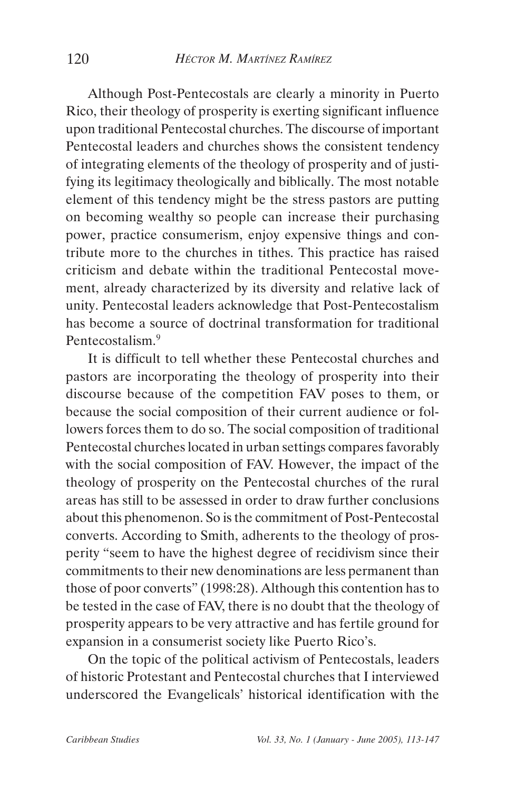Although Post-Pentecostals are clearly a minority in Puerto Rico, their theology of prosperity is exerting significant influence upon traditional Pentecostal churches. The discourse of important Pentecostal leaders and churches shows the consistent tendency of integrating elements of the theology of prosperity and of justifying its legitimacy theologically and biblically. The most notable element of this tendency might be the stress pastors are putting on becoming wealthy so people can increase their purchasing power, practice consumerism, enjoy expensive things and contribute more to the churches in tithes. This practice has raised criticism and debate within the traditional Pentecostal movement, already characterized by its diversity and relative lack of unity. Pentecostal leaders acknowledge that Post-Pentecostalism has become a source of doctrinal transformation for traditional Pentecostalism<sup>9</sup>

It is difficult to tell whether these Pentecostal churches and pastors are incorporating the theology of prosperity into their discourse because of the competition FAV poses to them, or because the social composition of their current audience or followers forces them to do so. The social composition of traditional Pentecostal churches located in urban settings compares favorably with the social composition of FAV. However, the impact of the theology of prosperity on the Pentecostal churches of the rural areas has still to be assessed in order to draw further conclusions about this phenomenon. So is the commitment of Post-Pentecostal converts. According to Smith, adherents to the theology of prosperity "seem to have the highest degree of recidivism since their commitments to their new denominations are less permanent than those of poor converts" (1998:28). Although this contention has to be tested in the case of FAV, there is no doubt that the theology of prosperity appears to be very attractive and has fertile ground for expansion in a consumerist society like Puerto Rico's.

On the topic of the political activism of Pentecostals, leaders of historic Protestant and Pentecostal churches that I interviewed underscored the Evangelicals' historical identification with the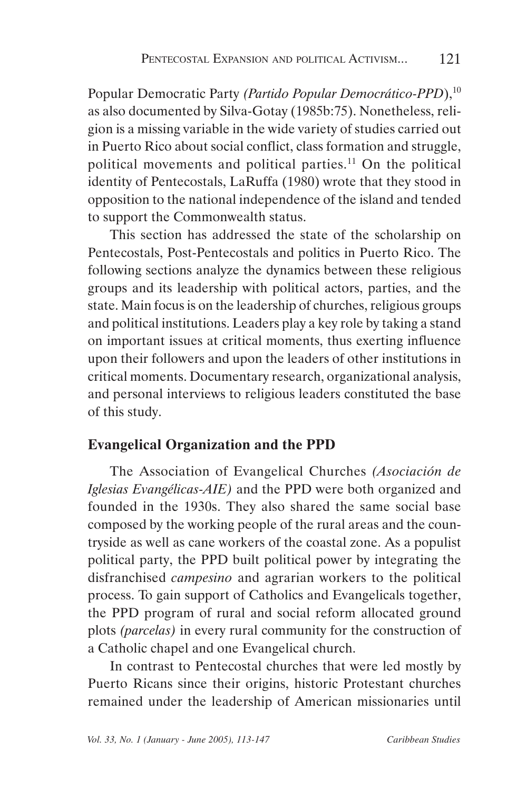Popular Democratic Party *(Partido Popular Democrático-PPD*),<sup>10</sup> as also documented by Silva-Gotay (1985b:75). Nonetheless, religion is a missing variable in the wide variety of studies carried out in Puerto Rico about social conflict, class formation and struggle, political movements and political parties.<sup>11</sup> On the political identity of Pentecostals, LaRuffa (1980) wrote that they stood in opposition to the national independence of the island and tended to support the Commonwealth status.

This section has addressed the state of the scholarship on Pentecostals, Post-Pentecostals and politics in Puerto Rico. The following sections analyze the dynamics between these religious groups and its leadership with political actors, parties, and the state. Main focus is on the leadership of churches, religious groups and political institutions. Leaders play a key role by taking a stand on important issues at critical moments, thus exerting influence upon their followers and upon the leaders of other institutions in critical moments. Documentary research, organizational analysis, and personal interviews to religious leaders constituted the base of this study.

### **Evangelical Organization and the PPD**

The Association of Evangelical Churches *(Asociación de Iglesias Evangélicas-AIE)* and the PPD were both organized and founded in the 1930s. They also shared the same social base composed by the working people of the rural areas and the countryside as well as cane workers of the coastal zone. As a populist political party, the PPD built political power by integrating the disfranchised *campesino* and agrarian workers to the political process. To gain support of Catholics and Evangelicals together, the PPD program of rural and social reform allocated ground plots *(parcelas)* in every rural community for the construction of a Catholic chapel and one Evangelical church.

In contrast to Pentecostal churches that were led mostly by Puerto Ricans since their origins, historic Protestant churches remained under the leadership of American missionaries until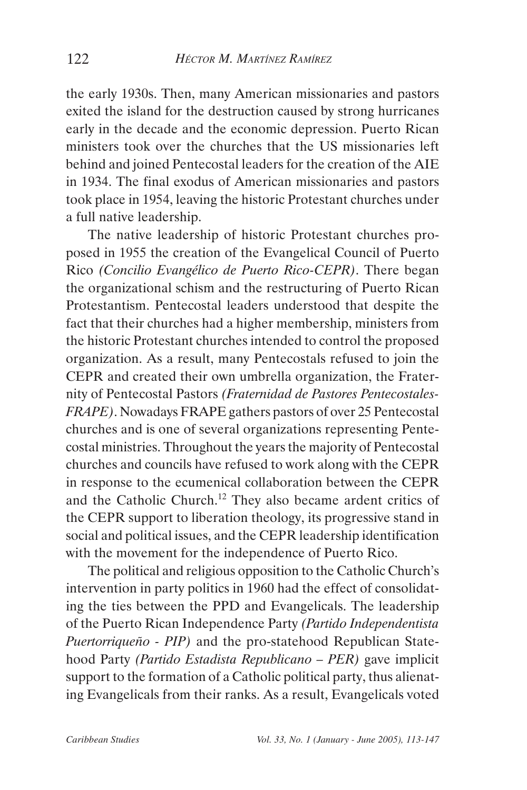the early 1930s. Then, many American missionaries and pastors exited the island for the destruction caused by strong hurricanes early in the decade and the economic depression. Puerto Rican ministers took over the churches that the US missionaries left behind and joined Pentecostal leaders for the creation of the AIE in 1934. The final exodus of American missionaries and pastors took place in 1954, leaving the historic Protestant churches under a full native leadership.

The native leadership of historic Protestant churches proposed in 1955 the creation of the Evangelical Council of Puerto Rico *(Concilio Evangélico de Puerto Rico-CEPR)*. There began the organizational schism and the restructuring of Puerto Rican Protestantism. Pentecostal leaders understood that despite the fact that their churches had a higher membership, ministers from the historic Protestant churches intended to control the proposed organization. As a result, many Pentecostals refused to join the CEPR and created their own umbrella organization, the Fraternity of Pentecostal Pastors *(Fraternidad de Pastores Pentecostales-FRAPE)*. Nowadays FRAPE gathers pastors of over 25 Pentecostal churches and is one of several organizations representing Pentecostal ministries. Throughout the years the majority of Pentecostal churches and councils have refused to work along with the CEPR in response to the ecumenical collaboration between the CEPR and the Catholic Church.<sup>12</sup> They also became ardent critics of the CEPR support to liberation theology, its progressive stand in social and political issues, and the CEPR leadership identification with the movement for the independence of Puerto Rico.

The political and religious opposition to the Catholic Church's intervention in party politics in 1960 had the effect of consolidating the ties between the PPD and Evangelicals. The leadership of the Puerto Rican Independence Party *(Partido Independentista Puertorriqueño - PIP)* and the pro-statehood Republican Statehood Party *(Partido Estadista Republicano – PER)* gave implicit support to the formation of a Catholic political party, thus alienating Evangelicals from their ranks. As a result, Evangelicals voted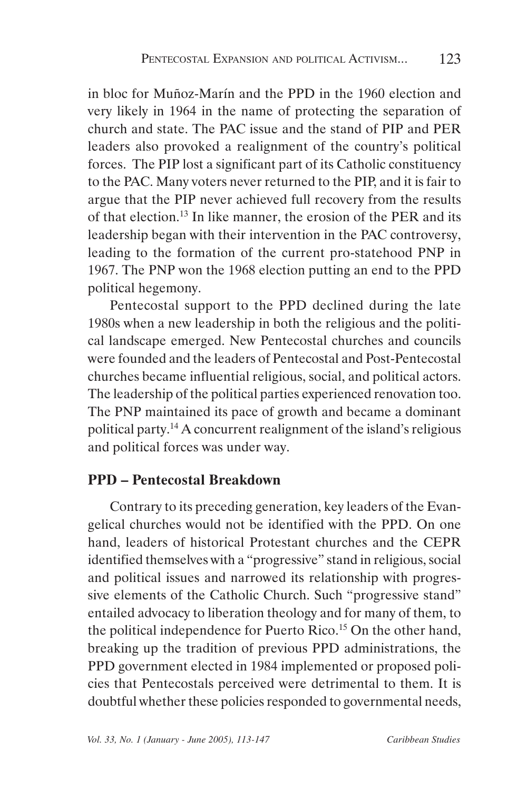in bloc for Muñoz-Marín and the PPD in the 1960 election and very likely in 1964 in the name of protecting the separation of church and state. The PAC issue and the stand of PIP and PER leaders also provoked a realignment of the country's political forces. The PIP lost a significant part of its Catholic constituency to the PAC. Many voters never returned to the PIP, and it is fair to argue that the PIP never achieved full recovery from the results of that election.13 In like manner, the erosion of the PER and its leadership began with their intervention in the PAC controversy, leading to the formation of the current pro-statehood PNP in 1967. The PNP won the 1968 election putting an end to the PPD political hegemony.

Pentecostal support to the PPD declined during the late 1980s when a new leadership in both the religious and the political landscape emerged. New Pentecostal churches and councils were founded and the leaders of Pentecostal and Post-Pentecostal churches became influential religious, social, and political actors. The leadership of the political parties experienced renovation too. The PNP maintained its pace of growth and became a dominant political party.14 A concurrent realignment of the island's religious and political forces was under way.

## **PPD – Pentecostal Breakdown**

Contrary to its preceding generation, key leaders of the Evangelical churches would not be identified with the PPD. On one hand, leaders of historical Protestant churches and the CEPR identified themselves with a "progressive" stand in religious, social and political issues and narrowed its relationship with progressive elements of the Catholic Church. Such "progressive stand" entailed advocacy to liberation theology and for many of them, to the political independence for Puerto Rico.<sup>15</sup> On the other hand, breaking up the tradition of previous PPD administrations, the PPD government elected in 1984 implemented or proposed policies that Pentecostals perceived were detrimental to them. It is doubtful whether these policies responded to governmental needs,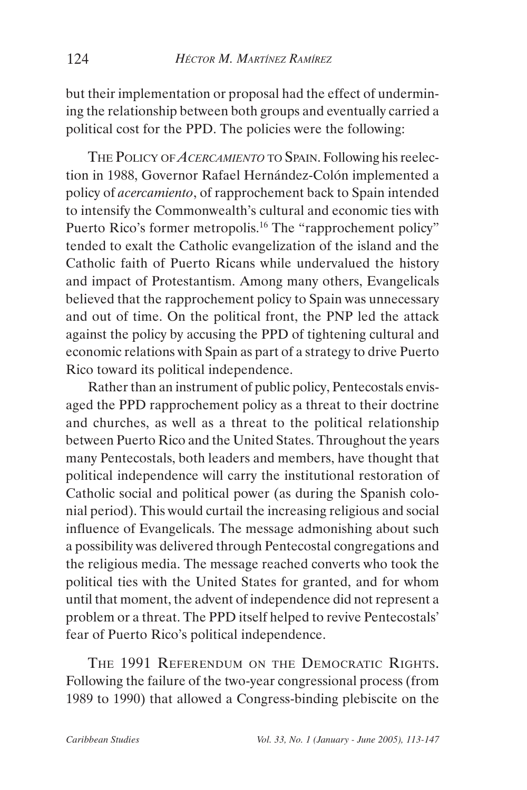but their implementation or proposal had the effect of undermining the relationship between both groups and eventually carried a political cost for the PPD. The policies were the following:

THE POLICY OF *ACERCAMIENTO* TO SPAIN. Following his reelection in 1988, Governor Rafael Hernández-Colón implemented a policy of *acercamiento*, of rapprochement back to Spain intended to intensify the Commonwealth's cultural and economic ties with Puerto Rico's former metropolis.<sup>16</sup> The "rapprochement policy" tended to exalt the Catholic evangelization of the island and the Catholic faith of Puerto Ricans while undervalued the history and impact of Protestantism. Among many others, Evangelicals believed that the rapprochement policy to Spain was unnecessary and out of time. On the political front, the PNP led the attack against the policy by accusing the PPD of tightening cultural and economic relations with Spain as part of a strategy to drive Puerto Rico toward its political independence.

Rather than an instrument of public policy, Pentecostals envisaged the PPD rapprochement policy as a threat to their doctrine and churches, as well as a threat to the political relationship between Puerto Rico and the United States. Throughout the years many Pentecostals, both leaders and members, have thought that political independence will carry the institutional restoration of Catholic social and political power (as during the Spanish colonial period). This would curtail the increasing religious and social influence of Evangelicals. The message admonishing about such a possibility was delivered through Pentecostal congregations and the religious media. The message reached converts who took the political ties with the United States for granted, and for whom until that moment, the advent of independence did not represent a problem or a threat. The PPD itself helped to revive Pentecostals' fear of Puerto Rico's political independence.

THE 1991 REFERENDUM ON THE DEMOCRATIC RIGHTS. Following the failure of the two-year congressional process (from 1989 to 1990) that allowed a Congress-binding plebiscite on the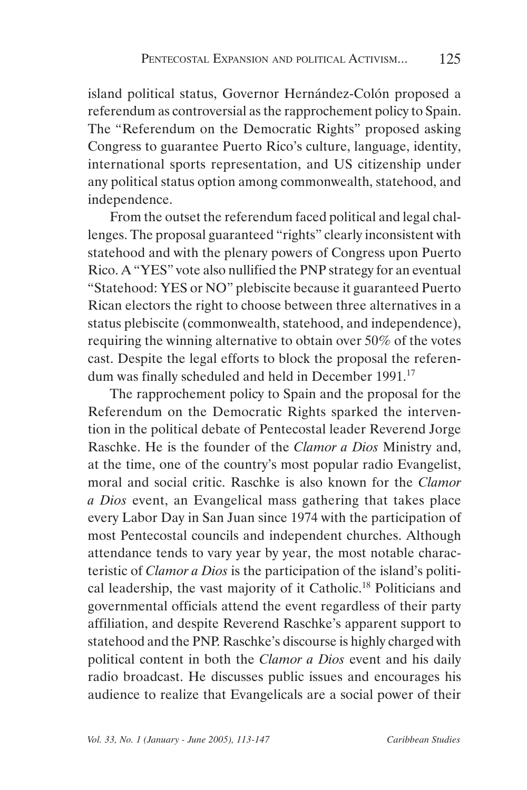island political status, Governor Hernández-Colón proposed a referendum as controversial as the rapprochement policy to Spain. The "Referendum on the Democratic Rights" proposed asking Congress to guarantee Puerto Rico's culture, language, identity, international sports representation, and US citizenship under any political status option among commonwealth, statehood, and independence.

From the outset the referendum faced political and legal challenges. The proposal guaranteed "rights" clearly inconsistent with statehood and with the plenary powers of Congress upon Puerto Rico. A "YES" vote also nullified the PNP strategy for an eventual "Statehood: YES or NO" plebiscite because it guaranteed Puerto Rican electors the right to choose between three alternatives in a status plebiscite (commonwealth, statehood, and independence), requiring the winning alternative to obtain over 50% of the votes cast. Despite the legal efforts to block the proposal the referendum was finally scheduled and held in December 1991.<sup>17</sup>

The rapprochement policy to Spain and the proposal for the Referendum on the Democratic Rights sparked the intervention in the political debate of Pentecostal leader Reverend Jorge Raschke. He is the founder of the *Clamor a Dios* Ministry and, at the time, one of the country's most popular radio Evangelist, moral and social critic. Raschke is also known for the *Clamor a Dios* event, an Evangelical mass gathering that takes place every Labor Day in San Juan since 1974 with the participation of most Pentecostal councils and independent churches. Although attendance tends to vary year by year, the most notable characteristic of *Clamor a Dios* is the participation of the island's political leadership, the vast majority of it Catholic.18 Politicians and governmental officials attend the event regardless of their party affiliation, and despite Reverend Raschke's apparent support to statehood and the PNP. Raschke's discourse is highly charged with political content in both the *Clamor a Dios* event and his daily radio broadcast. He discusses public issues and encourages his audience to realize that Evangelicals are a social power of their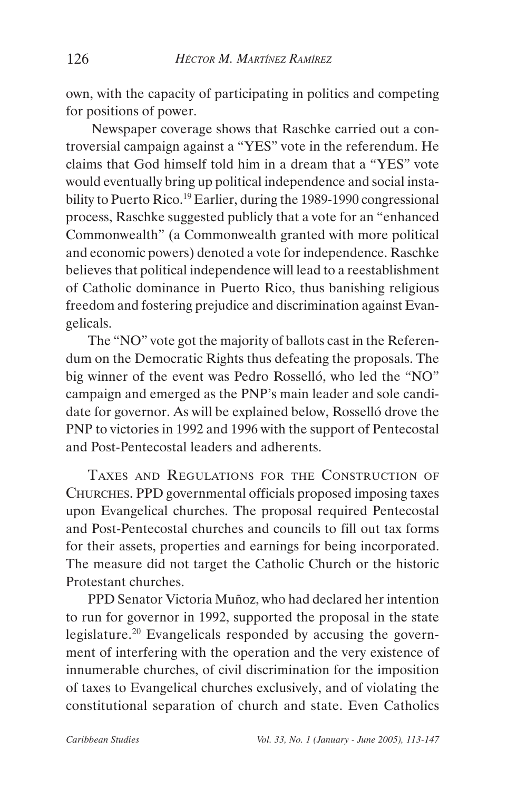own, with the capacity of participating in politics and competing for positions of power.

 Newspaper coverage shows that Raschke carried out a controversial campaign against a "YES" vote in the referendum. He claims that God himself told him in a dream that a "YES" vote would eventually bring up political independence and social instability to Puerto Rico.<sup>19</sup> Earlier, during the 1989-1990 congressional process, Raschke suggested publicly that a vote for an "enhanced Commonwealth" (a Commonwealth granted with more political and economic powers) denoted a vote for independence. Raschke believes that political independence will lead to a reestablishment of Catholic dominance in Puerto Rico, thus banishing religious freedom and fostering prejudice and discrimination against Evangelicals.

The "NO" vote got the majority of ballots cast in the Referendum on the Democratic Rights thus defeating the proposals. The big winner of the event was Pedro Rosselló, who led the "NO" campaign and emerged as the PNP's main leader and sole candidate for governor. As will be explained below, Rosselló drove the PNP to victories in 1992 and 1996 with the support of Pentecostal and Post-Pentecostal leaders and adherents.

TAXES AND REGULATIONS FOR THE CONSTRUCTION OF CHURCHES. PPD governmental officials proposed imposing taxes upon Evangelical churches. The proposal required Pentecostal and Post-Pentecostal churches and councils to fill out tax forms for their assets, properties and earnings for being incorporated. The measure did not target the Catholic Church or the historic Protestant churches.

PPD Senator Victoria Muñoz, who had declared her intention to run for governor in 1992, supported the proposal in the state legislature.<sup>20</sup> Evangelicals responded by accusing the government of interfering with the operation and the very existence of innumerable churches, of civil discrimination for the imposition of taxes to Evangelical churches exclusively, and of violating the constitutional separation of church and state. Even Catholics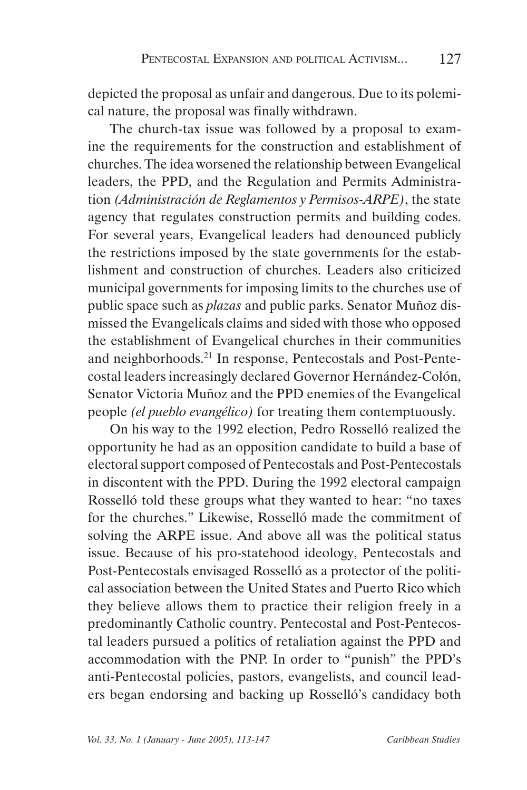depicted the proposal as unfair and dangerous. Due to its polemical nature, the proposal was finally withdrawn.

The church-tax issue was followed by a proposal to examine the requirements for the construction and establishment of churches. The idea worsened the relationship between Evangelical leaders, the PPD, and the Regulation and Permits Administration *(Administración de Reglamentos y Permisos-ARPE)*, the state agency that regulates construction permits and building codes. For several years, Evangelical leaders had denounced publicly the restrictions imposed by the state governments for the establishment and construction of churches. Leaders also criticized municipal governments for imposing limits to the churches use of public space such as *plazas* and public parks. Senator Muñoz dismissed the Evangelicals claims and sided with those who opposed the establishment of Evangelical churches in their communities and neighborhoods.21 In response, Pentecostals and Post-Pentecostal leaders increasingly declared Governor Hernández-Colón, Senator Victoria Muñoz and the PPD enemies of the Evangelical people *(el pueblo evangélico)* for treating them contemptuously.

On his way to the 1992 election, Pedro Rosselló realized the opportunity he had as an opposition candidate to build a base of electoral support composed of Pentecostals and Post-Pentecostals in discontent with the PPD. During the 1992 electoral campaign Rosselló told these groups what they wanted to hear: "no taxes for the churches." Likewise, Rosselló made the commitment of solving the ARPE issue. And above all was the political status issue. Because of his pro-statehood ideology, Pentecostals and Post-Pentecostals envisaged Rosselló as a protector of the political association between the United States and Puerto Rico which they believe allows them to practice their religion freely in a predominantly Catholic country. Pentecostal and Post-Pentecostal leaders pursued a politics of retaliation against the PPD and accommodation with the PNP. In order to "punish" the PPD's anti-Pentecostal policies, pastors, evangelists, and council leaders began endorsing and backing up Rosselló's candidacy both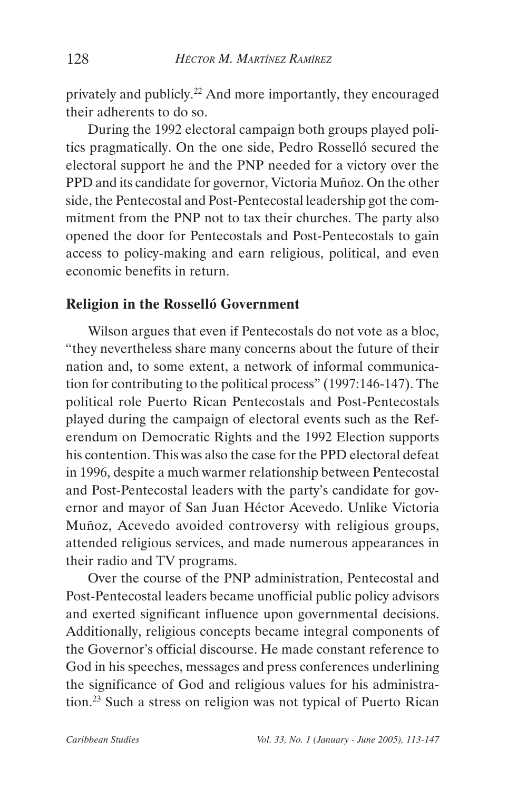privately and publicly.<sup>22</sup> And more importantly, they encouraged their adherents to do so.

During the 1992 electoral campaign both groups played politics pragmatically. On the one side, Pedro Rosselló secured the electoral support he and the PNP needed for a victory over the PPD and its candidate for governor, Victoria Muñoz. On the other side, the Pentecostal and Post-Pentecostal leadership got the commitment from the PNP not to tax their churches. The party also opened the door for Pentecostals and Post-Pentecostals to gain access to policy-making and earn religious, political, and even economic benefits in return.

### **Religion in the Rosselló Government**

Wilson argues that even if Pentecostals do not vote as a bloc, "they nevertheless share many concerns about the future of their nation and, to some extent, a network of informal communication for contributing to the political process" (1997:146-147). The political role Puerto Rican Pentecostals and Post-Pentecostals played during the campaign of electoral events such as the Referendum on Democratic Rights and the 1992 Election supports his contention. This was also the case for the PPD electoral defeat in 1996, despite a much warmer relationship between Pentecostal and Post-Pentecostal leaders with the party's candidate for governor and mayor of San Juan Héctor Acevedo. Unlike Victoria Muñoz, Acevedo avoided controversy with religious groups, attended religious services, and made numerous appearances in their radio and TV programs.

Over the course of the PNP administration, Pentecostal and Post-Pentecostal leaders became unofficial public policy advisors and exerted significant influence upon governmental decisions. Additionally, religious concepts became integral components of the Governor's official discourse. He made constant reference to God in his speeches, messages and press conferences underlining the significance of God and religious values for his administration.23 Such a stress on religion was not typical of Puerto Rican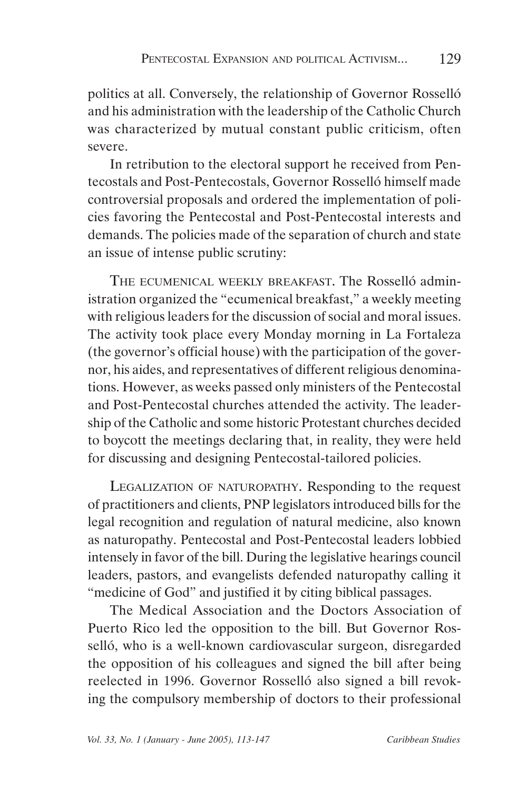politics at all. Conversely, the relationship of Governor Rosselló and his administration with the leadership of the Catholic Church was characterized by mutual constant public criticism, often severe.

In retribution to the electoral support he received from Pentecostals and Post-Pentecostals, Governor Rosselló himself made controversial proposals and ordered the implementation of policies favoring the Pentecostal and Post-Pentecostal interests and demands. The policies made of the separation of church and state an issue of intense public scrutiny:

THE ECUMENICAL WEEKLY BREAKFAST. The Rosselló administration organized the "ecumenical breakfast," a weekly meeting with religious leaders for the discussion of social and moral issues. The activity took place every Monday morning in La Fortaleza (the governor's official house) with the participation of the governor, his aides, and representatives of different religious denominations. However, as weeks passed only ministers of the Pentecostal and Post-Pentecostal churches attended the activity. The leadership of the Catholic and some historic Protestant churches decided to boycott the meetings declaring that, in reality, they were held for discussing and designing Pentecostal-tailored policies.

LEGALIZATION OF NATUROPATHY. Responding to the request of practitioners and clients, PNP legislators introduced bills for the legal recognition and regulation of natural medicine, also known as naturopathy. Pentecostal and Post-Pentecostal leaders lobbied intensely in favor of the bill. During the legislative hearings council leaders, pastors, and evangelists defended naturopathy calling it "medicine of God" and justified it by citing biblical passages.

The Medical Association and the Doctors Association of Puerto Rico led the opposition to the bill. But Governor Rosselló, who is a well-known cardiovascular surgeon, disregarded the opposition of his colleagues and signed the bill after being reelected in 1996. Governor Rosselló also signed a bill revoking the compulsory membership of doctors to their professional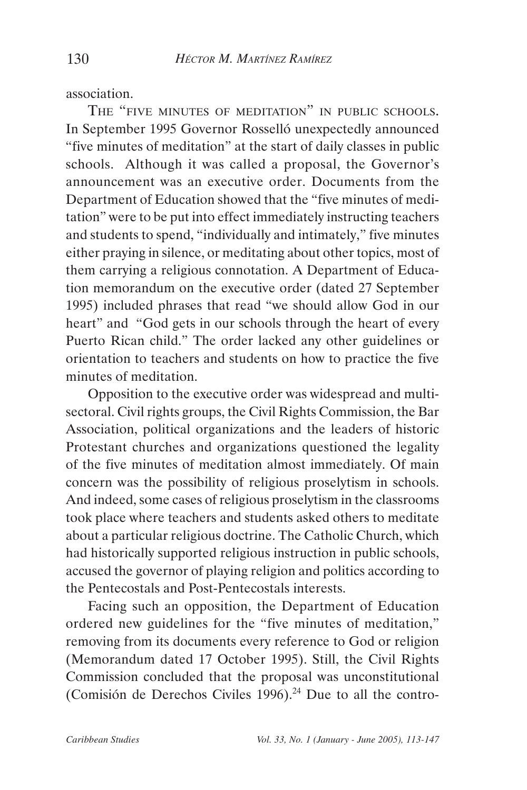association.

THE "FIVE MINUTES OF MEDITATION" IN PUBLIC SCHOOLS. In September 1995 Governor Rosselló unexpectedly announced "five minutes of meditation" at the start of daily classes in public schools. Although it was called a proposal, the Governor's announcement was an executive order. Documents from the Department of Education showed that the "five minutes of meditation" were to be put into effect immediately instructing teachers and students to spend, "individually and intimately," five minutes either praying in silence, or meditating about other topics, most of them carrying a religious connotation. A Department of Education memorandum on the executive order (dated 27 September 1995) included phrases that read "we should allow God in our heart" and "God gets in our schools through the heart of every Puerto Rican child." The order lacked any other guidelines or orientation to teachers and students on how to practice the five minutes of meditation.

Opposition to the executive order was widespread and multisectoral. Civil rights groups, the Civil Rights Commission, the Bar Association, political organizations and the leaders of historic Protestant churches and organizations questioned the legality of the five minutes of meditation almost immediately. Of main concern was the possibility of religious proselytism in schools. And indeed, some cases of religious proselytism in the classrooms took place where teachers and students asked others to meditate about a particular religious doctrine. The Catholic Church, which had historically supported religious instruction in public schools, accused the governor of playing religion and politics according to the Pentecostals and Post-Pentecostals interests.

Facing such an opposition, the Department of Education ordered new guidelines for the "five minutes of meditation," removing from its documents every reference to God or religion (Memorandum dated 17 October 1995). Still, the Civil Rights Commission concluded that the proposal was unconstitutional (Comisión de Derechos Civiles 1996). $24$  Due to all the contro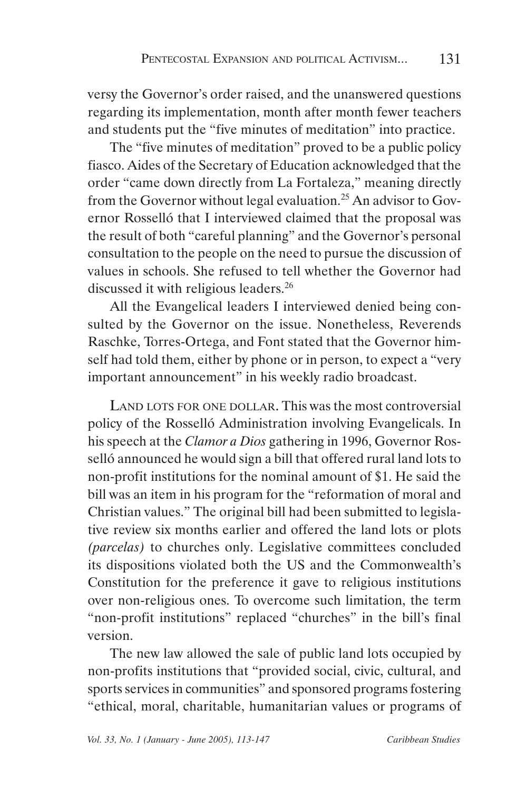versy the Governor's order raised, and the unanswered questions regarding its implementation, month after month fewer teachers and students put the "five minutes of meditation" into practice.

The "five minutes of meditation" proved to be a public policy fiasco. Aides of the Secretary of Education acknowledged that the order "came down directly from La Fortaleza," meaning directly from the Governor without legal evaluation.<sup>25</sup> An advisor to Governor Rosselló that I interviewed claimed that the proposal was the result of both "careful planning" and the Governor's personal consultation to the people on the need to pursue the discussion of values in schools. She refused to tell whether the Governor had discussed it with religious leaders.<sup>26</sup>

All the Evangelical leaders I interviewed denied being consulted by the Governor on the issue. Nonetheless, Reverends Raschke, Torres-Ortega, and Font stated that the Governor himself had told them, either by phone or in person, to expect a "very important announcement" in his weekly radio broadcast.

LAND LOTS FOR ONE DOLLAR. This was the most controversial policy of the Rosselló Administration involving Evangelicals. In his speech at the *Clamor a Dios* gathering in 1996, Governor Rosselló announced he would sign a bill that offered rural land lots to non-profit institutions for the nominal amount of \$1. He said the bill was an item in his program for the "reformation of moral and Christian values." The original bill had been submitted to legislative review six months earlier and offered the land lots or plots *(parcelas)* to churches only. Legislative committees concluded its dispositions violated both the US and the Commonwealth's Constitution for the preference it gave to religious institutions over non-religious ones. To overcome such limitation, the term "non-profit institutions" replaced "churches" in the bill's final version.

The new law allowed the sale of public land lots occupied by non-profits institutions that "provided social, civic, cultural, and sports services in communities" and sponsored programs fostering "ethical, moral, charitable, humanitarian values or programs of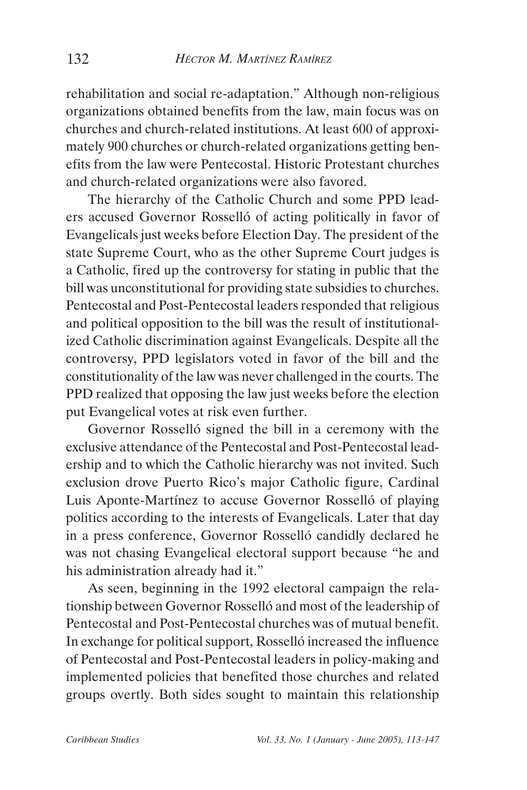rehabilitation and social re-adaptation." Although non-religious organizations obtained benefits from the law, main focus was on churches and church-related institutions. At least 600 of approximately 900 churches or church-related organizations getting benefits from the law were Pentecostal. Historic Protestant churches and church-related organizations were also favored.

The hierarchy of the Catholic Church and some PPD leaders accused Governor Rosselló of acting politically in favor of Evangelicals just weeks before Election Day. The president of the state Supreme Court, who as the other Supreme Court judges is a Catholic, fired up the controversy for stating in public that the bill was unconstitutional for providing state subsidies to churches. Pentecostal and Post-Pentecostal leaders responded that religious and political opposition to the bill was the result of institutionalized Catholic discrimination against Evangelicals. Despite all the controversy, PPD legislators voted in favor of the bill and the constitutionality of the law was never challenged in the courts. The PPD realized that opposing the law just weeks before the election put Evangelical votes at risk even further.

Governor Rosselló signed the bill in a ceremony with the exclusive attendance of the Pentecostal and Post-Pentecostal leadership and to which the Catholic hierarchy was not invited. Such exclusion drove Puerto Rico's major Catholic figure, Cardinal Luis Aponte-Martínez to accuse Governor Rosselló of playing politics according to the interests of Evangelicals. Later that day in a press conference, Governor Rosselló candidly declared he was not chasing Evangelical electoral support because "he and his administration already had it."

As seen, beginning in the 1992 electoral campaign the relationship between Governor Rosselló and most of the leadership of Pentecostal and Post-Pentecostal churches was of mutual benefit. In exchange for political support, Rosselló increased the influence of Pentecostal and Post-Pentecostal leaders in policy-making and implemented policies that benefited those churches and related groups overtly. Both sides sought to maintain this relationship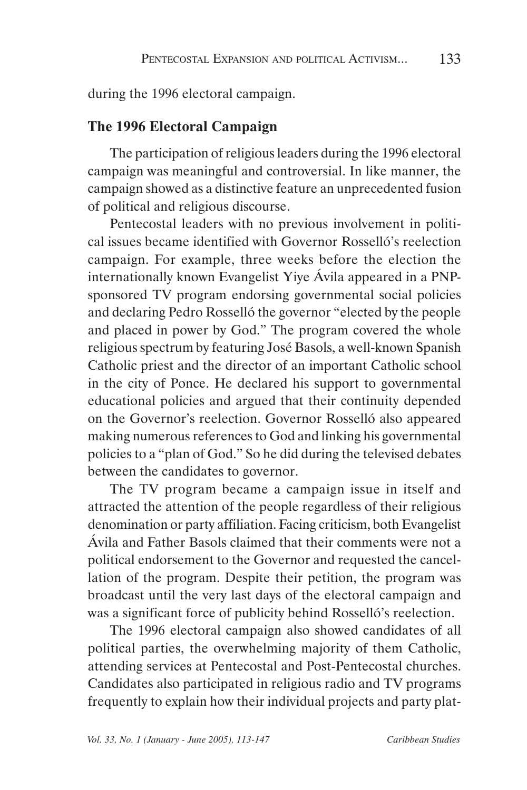during the 1996 electoral campaign.

### **The 1996 Electoral Campaign**

The participation of religious leaders during the 1996 electoral campaign was meaningful and controversial. In like manner, the campaign showed as a distinctive feature an unprecedented fusion of political and religious discourse.

Pentecostal leaders with no previous involvement in political issues became identified with Governor Rosselló's reelection campaign. For example, three weeks before the election the internationally known Evangelist Yiye Ávila appeared in a PNPsponsored TV program endorsing governmental social policies and declaring Pedro Rosselló the governor "elected by the people and placed in power by God." The program covered the whole religious spectrum by featuring José Basols, a well-known Spanish Catholic priest and the director of an important Catholic school in the city of Ponce. He declared his support to governmental educational policies and argued that their continuity depended on the Governor's reelection. Governor Rosselló also appeared making numerous references to God and linking his governmental policies to a "plan of God." So he did during the televised debates between the candidates to governor.

The TV program became a campaign issue in itself and attracted the attention of the people regardless of their religious denomination or party affiliation. Facing criticism, both Evangelist Ávila and Father Basols claimed that their comments were not a political endorsement to the Governor and requested the cancellation of the program. Despite their petition, the program was broadcast until the very last days of the electoral campaign and was a significant force of publicity behind Rosselló's reelection.

The 1996 electoral campaign also showed candidates of all political parties, the overwhelming majority of them Catholic, attending services at Pentecostal and Post-Pentecostal churches. Candidates also participated in religious radio and TV programs frequently to explain how their individual projects and party plat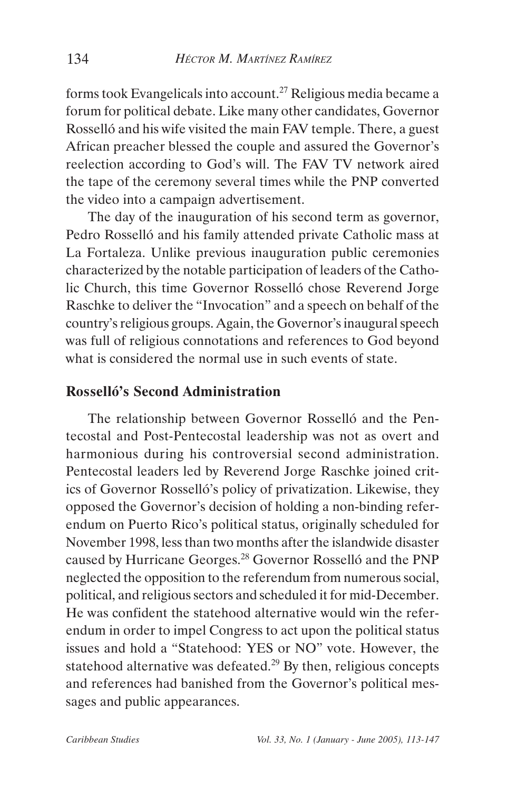forms took Evangelicals into account.27 Religious media became a forum for political debate. Like many other candidates, Governor Rosselló and his wife visited the main FAV temple. There, a guest African preacher blessed the couple and assured the Governor's reelection according to God's will. The FAV TV network aired the tape of the ceremony several times while the PNP converted the video into a campaign advertisement.

The day of the inauguration of his second term as governor, Pedro Rosselló and his family attended private Catholic mass at La Fortaleza. Unlike previous inauguration public ceremonies characterized by the notable participation of leaders of the Catholic Church, this time Governor Rosselló chose Reverend Jorge Raschke to deliver the "Invocation" and a speech on behalf of the country's religious groups. Again, the Governor's inaugural speech was full of religious connotations and references to God beyond what is considered the normal use in such events of state.

#### **Rosselló's Second Administration**

The relationship between Governor Rosselló and the Pentecostal and Post-Pentecostal leadership was not as overt and harmonious during his controversial second administration. Pentecostal leaders led by Reverend Jorge Raschke joined critics of Governor Rosselló's policy of privatization. Likewise, they opposed the Governor's decision of holding a non-binding referendum on Puerto Rico's political status, originally scheduled for November 1998, less than two months after the islandwide disaster caused by Hurricane Georges.28 Governor Rosselló and the PNP neglected the opposition to the referendum from numerous social, political, and religious sectors and scheduled it for mid-December. He was confident the statehood alternative would win the referendum in order to impel Congress to act upon the political status issues and hold a "Statehood: YES or NO" vote. However, the statehood alternative was defeated.<sup>29</sup> By then, religious concepts and references had banished from the Governor's political messages and public appearances.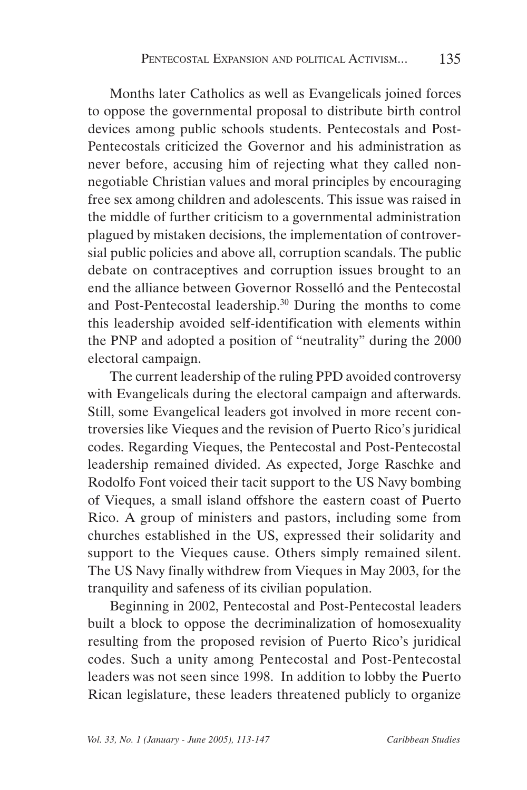Months later Catholics as well as Evangelicals joined forces to oppose the governmental proposal to distribute birth control devices among public schools students. Pentecostals and Post-Pentecostals criticized the Governor and his administration as never before, accusing him of rejecting what they called nonnegotiable Christian values and moral principles by encouraging free sex among children and adolescents. This issue was raised in the middle of further criticism to a governmental administration plagued by mistaken decisions, the implementation of controversial public policies and above all, corruption scandals. The public debate on contraceptives and corruption issues brought to an end the alliance between Governor Rosselló and the Pentecostal and Post-Pentecostal leadership.30 During the months to come this leadership avoided self-identification with elements within the PNP and adopted a position of "neutrality" during the 2000 electoral campaign.

The current leadership of the ruling PPD avoided controversy with Evangelicals during the electoral campaign and afterwards. Still, some Evangelical leaders got involved in more recent controversies like Vieques and the revision of Puerto Rico's juridical codes. Regarding Vieques, the Pentecostal and Post-Pentecostal leadership remained divided. As expected, Jorge Raschke and Rodolfo Font voiced their tacit support to the US Navy bombing of Vieques, a small island offshore the eastern coast of Puerto Rico. A group of ministers and pastors, including some from churches established in the US, expressed their solidarity and support to the Vieques cause. Others simply remained silent. The US Navy finally withdrew from Vieques in May 2003, for the tranquility and safeness of its civilian population.

Beginning in 2002, Pentecostal and Post-Pentecostal leaders built a block to oppose the decriminalization of homosexuality resulting from the proposed revision of Puerto Rico's juridical codes. Such a unity among Pentecostal and Post-Pentecostal leaders was not seen since 1998. In addition to lobby the Puerto Rican legislature, these leaders threatened publicly to organize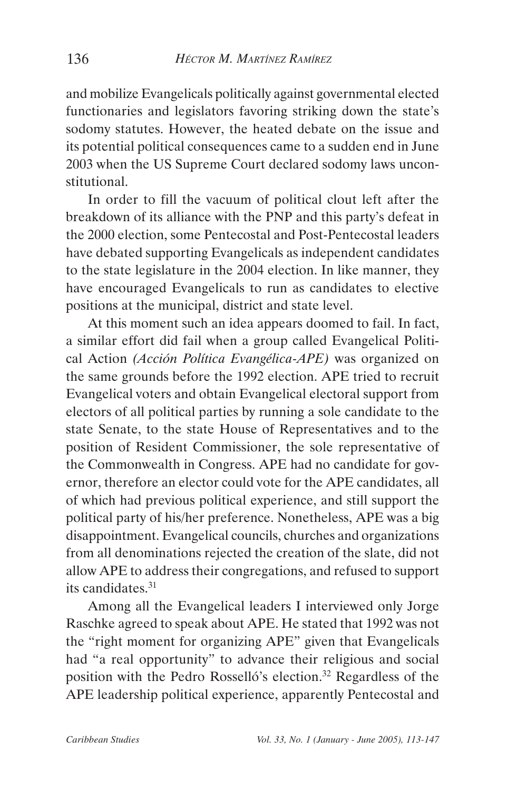and mobilize Evangelicals politically against governmental elected functionaries and legislators favoring striking down the state's sodomy statutes. However, the heated debate on the issue and its potential political consequences came to a sudden end in June 2003 when the US Supreme Court declared sodomy laws unconstitutional.

In order to fill the vacuum of political clout left after the breakdown of its alliance with the PNP and this party's defeat in the 2000 election, some Pentecostal and Post-Pentecostal leaders have debated supporting Evangelicals as independent candidates to the state legislature in the 2004 election. In like manner, they have encouraged Evangelicals to run as candidates to elective positions at the municipal, district and state level.

At this moment such an idea appears doomed to fail. In fact, a similar effort did fail when a group called Evangelical Political Action *(Acción Política Evangélica-APE)* was organized on the same grounds before the 1992 election. APE tried to recruit Evangelical voters and obtain Evangelical electoral support from electors of all political parties by running a sole candidate to the state Senate, to the state House of Representatives and to the position of Resident Commissioner, the sole representative of the Commonwealth in Congress. APE had no candidate for governor, therefore an elector could vote for the APE candidates, all of which had previous political experience, and still support the political party of his/her preference. Nonetheless, APE was a big disappointment. Evangelical councils, churches and organizations from all denominations rejected the creation of the slate, did not allow APE to address their congregations, and refused to support its candidates.31

Among all the Evangelical leaders I interviewed only Jorge Raschke agreed to speak about APE. He stated that 1992 was not the "right moment for organizing APE" given that Evangelicals had "a real opportunity" to advance their religious and social position with the Pedro Rosselló's election.<sup>32</sup> Regardless of the APE leadership political experience, apparently Pentecostal and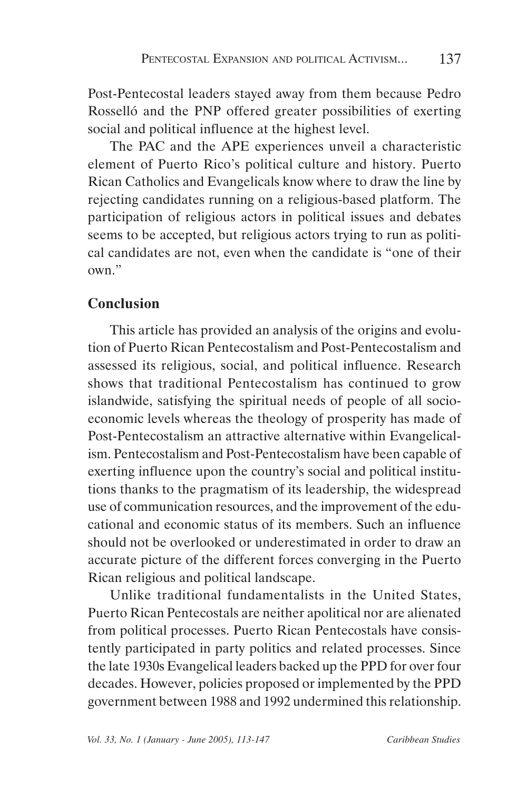Post-Pentecostal leaders stayed away from them because Pedro Rosselló and the PNP offered greater possibilities of exerting social and political influence at the highest level.

The PAC and the APE experiences unveil a characteristic element of Puerto Rico's political culture and history. Puerto Rican Catholics and Evangelicals know where to draw the line by rejecting candidates running on a religious-based platform. The participation of religious actors in political issues and debates seems to be accepted, but religious actors trying to run as political candidates are not, even when the candidate is "one of their own."

# **Conclusion**

This article has provided an analysis of the origins and evolution of Puerto Rican Pentecostalism and Post-Pentecostalism and assessed its religious, social, and political influence. Research shows that traditional Pentecostalism has continued to grow islandwide, satisfying the spiritual needs of people of all socioeconomic levels whereas the theology of prosperity has made of Post-Pentecostalism an attractive alternative within Evangelicalism. Pentecostalism and Post-Pentecostalism have been capable of exerting influence upon the country's social and political institutions thanks to the pragmatism of its leadership, the widespread use of communication resources, and the improvement of the educational and economic status of its members. Such an influence should not be overlooked or underestimated in order to draw an accurate picture of the different forces converging in the Puerto Rican religious and political landscape.

Unlike traditional fundamentalists in the United States, Puerto Rican Pentecostals are neither apolitical nor are alienated from political processes. Puerto Rican Pentecostals have consistently participated in party politics and related processes. Since the late 1930s Evangelical leaders backed up the PPD for over four decades. However, policies proposed or implemented by the PPD government between 1988 and 1992 undermined this relationship.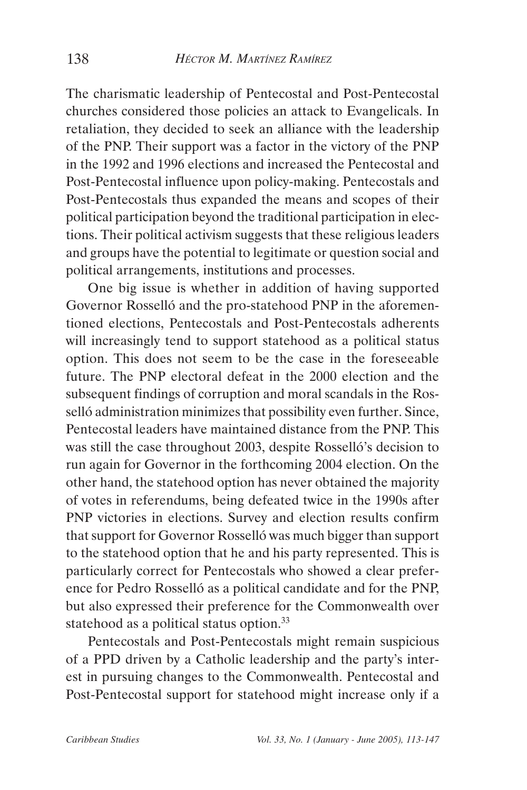The charismatic leadership of Pentecostal and Post-Pentecostal churches considered those policies an attack to Evangelicals. In retaliation, they decided to seek an alliance with the leadership of the PNP. Their support was a factor in the victory of the PNP in the 1992 and 1996 elections and increased the Pentecostal and Post-Pentecostal influence upon policy-making. Pentecostals and Post-Pentecostals thus expanded the means and scopes of their political participation beyond the traditional participation in elections. Their political activism suggests that these religious leaders and groups have the potential to legitimate or question social and political arrangements, institutions and processes.

One big issue is whether in addition of having supported Governor Rosselló and the pro-statehood PNP in the aforementioned elections, Pentecostals and Post-Pentecostals adherents will increasingly tend to support statehood as a political status option. This does not seem to be the case in the foreseeable future. The PNP electoral defeat in the 2000 election and the subsequent findings of corruption and moral scandals in the Rosselló administration minimizes that possibility even further. Since, Pentecostal leaders have maintained distance from the PNP. This was still the case throughout 2003, despite Rosselló's decision to run again for Governor in the forthcoming 2004 election. On the other hand, the statehood option has never obtained the majority of votes in referendums, being defeated twice in the 1990s after PNP victories in elections. Survey and election results confirm that support for Governor Rosselló was much bigger than support to the statehood option that he and his party represented. This is particularly correct for Pentecostals who showed a clear preference for Pedro Rosselló as a political candidate and for the PNP, but also expressed their preference for the Commonwealth over statehood as a political status option.<sup>33</sup>

Pentecostals and Post-Pentecostals might remain suspicious of a PPD driven by a Catholic leadership and the party's interest in pursuing changes to the Commonwealth. Pentecostal and Post-Pentecostal support for statehood might increase only if a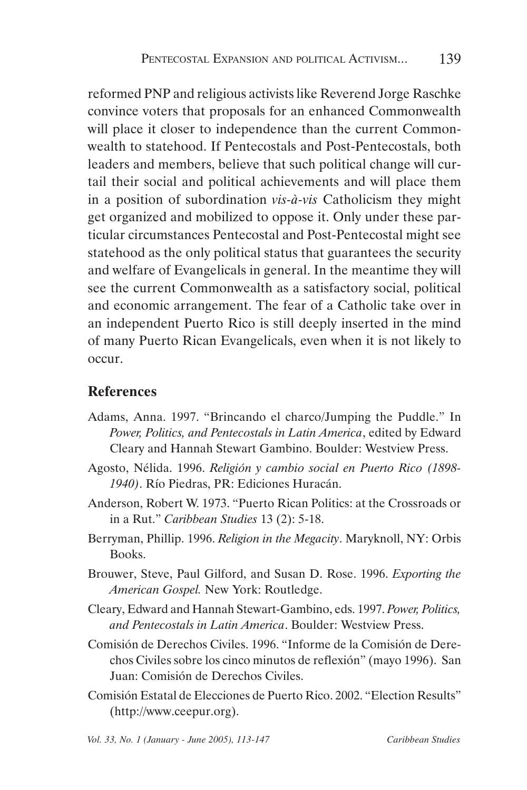reformed PNP and religious activists like Reverend Jorge Raschke convince voters that proposals for an enhanced Commonwealth will place it closer to independence than the current Commonwealth to statehood. If Pentecostals and Post-Pentecostals, both leaders and members, believe that such political change will curtail their social and political achievements and will place them in a position of subordination *vis-à-vis* Catholicism they might get organized and mobilized to oppose it. Only under these particular circumstances Pentecostal and Post-Pentecostal might see statehood as the only political status that guarantees the security and welfare of Evangelicals in general. In the meantime they will see the current Commonwealth as a satisfactory social, political and economic arrangement. The fear of a Catholic take over in an independent Puerto Rico is still deeply inserted in the mind of many Puerto Rican Evangelicals, even when it is not likely to occur.

### **References**

- Adams, Anna. 1997. "Brincando el charco/Jumping the Puddle." In *Power, Politics, and Pentecostals in Latin America*, edited by Edward Cleary and Hannah Stewart Gambino. Boulder: Westview Press.
- Agosto, Nélida. 1996. *Religión y cambio social en Puerto Rico (1898- 1940)*. Río Piedras, PR: Ediciones Huracán.
- Anderson, Robert W. 1973. "Puerto Rican Politics: at the Crossroads or in a Rut." *Caribbean Studies* 13 (2): 5-18.
- Berryman, Phillip. 1996. *Religion in the Megacity*. Maryknoll, NY: Orbis Books.
- Brouwer, Steve, Paul Gilford, and Susan D. Rose. 1996. *Exporting the American Gospel.* New York: Routledge.
- Cleary, Edward and Hannah Stewart-Gambino, eds. 1997. *Power, Politics, and Pentecostals in Latin America*. Boulder: Westview Press.
- Comisión de Derechos Civiles. 1996. "Informe de la Comisión de Derechos Civiles sobre los cinco minutos de reflexión" (mayo 1996). San Juan: Comisión de Derechos Civiles.
- Comisión Estatal de Elecciones de Puerto Rico. 2002. "Election Results" (http://www.ceepur.org).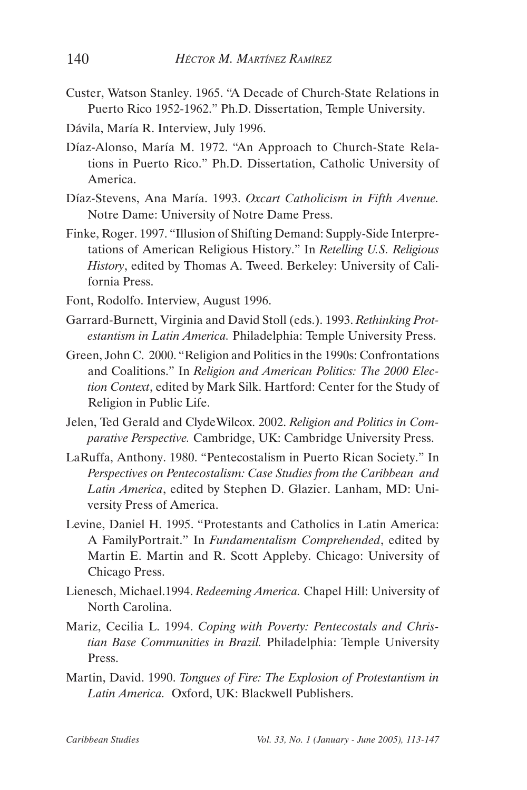- Custer, Watson Stanley. 1965. "A Decade of Church-State Relations in Puerto Rico 1952-1962." Ph.D. Dissertation, Temple University.
- Dávila, María R. Interview, July 1996.
- Díaz-Alonso, María M. 1972. "An Approach to Church-State Relations in Puerto Rico." Ph.D. Dissertation, Catholic University of America.
- Díaz-Stevens, Ana María. 1993. *Oxcart Catholicism in Fifth Avenue.* Notre Dame: University of Notre Dame Press.
- Finke, Roger. 1997. "Illusion of Shifting Demand: Supply-Side Interpretations of American Religious History." In *Retelling U.S. Religious History*, edited by Thomas A. Tweed. Berkeley: University of California Press.
- Font, Rodolfo. Interview, August 1996.
- Garrard-Burnett, Virginia and David Stoll (eds.). 1993. *Rethinking Protestantism in Latin America.* Philadelphia: Temple University Press.
- Green, John C. 2000. "Religion and Politics in the 1990s: Confrontations and Coalitions." In *Religion and American Politics: The 2000 Election Context*, edited by Mark Silk. Hartford: Center for the Study of Religion in Public Life.
- Jelen, Ted Gerald and ClydeWilcox. 2002. *Religion and Politics in Comparative Perspective.* Cambridge, UK: Cambridge University Press.
- LaRuffa, Anthony. 1980. "Pentecostalism in Puerto Rican Society." In *Perspectives on Pentecostalism: Case Studies from the Caribbean and Latin America*, edited by Stephen D. Glazier. Lanham, MD: University Press of America.
- Levine, Daniel H. 1995. "Protestants and Catholics in Latin America: A FamilyPortrait." In *Fundamentalism Comprehended*, edited by Martin E. Martin and R. Scott Appleby. Chicago: University of Chicago Press.
- Lienesch, Michael.1994. *Redeeming America.* Chapel Hill: University of North Carolina.
- Mariz, Cecilia L. 1994. *Coping with Poverty: Pentecostals and Christian Base Communities in Brazil.* Philadelphia: Temple University Press.
- Martin, David. 1990. *Tongues of Fire: The Explosion of Protestantism in Latin America.* Oxford, UK: Blackwell Publishers.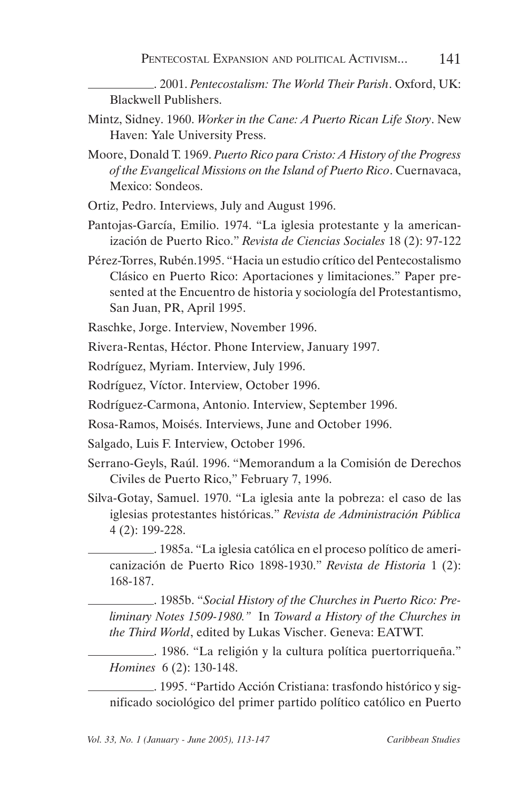- . 2001. *Pentecostalism: The World Their Parish*. Oxford, UK: Blackwell Publishers.
- Mintz, Sidney. 1960. *Worker in the Cane: A Puerto Rican Life Story*. New Haven: Yale University Press.
- Moore, Donald T. 1969. *Puerto Rico para Cristo: A History of the Progress of the Evangelical Missions on the Island of Puerto Rico*. Cuernavaca, Mexico: Sondeos.
- Ortiz, Pedro. Interviews, July and August 1996.
- Pantojas-García, Emilio. 1974. "La iglesia protestante y la americanización de Puerto Rico." *Revista de Ciencias Sociales* 18 (2): 97-122
- Pérez-Torres, Rubén.1995. "Hacia un estudio crítico del Pentecostalismo Clásico en Puerto Rico: Aportaciones y limitaciones." Paper presented at the Encuentro de historia y sociología del Protestantismo, San Juan, PR, April 1995.
- Raschke, Jorge. Interview, November 1996.
- Rivera-Rentas, Héctor. Phone Interview, January 1997.
- Rodríguez, Myriam. Interview, July 1996.
- Rodríguez, Víctor. Interview, October 1996.
- Rodríguez-Carmona, Antonio. Interview, September 1996.
- Rosa-Ramos, Moisés. Interviews, June and October 1996.
- Salgado, Luis F. Interview, October 1996.
- Serrano-Geyls, Raúl. 1996. "Memorandum a la Comisión de Derechos Civiles de Puerto Rico," February 7, 1996.
- Silva-Gotay, Samuel. 1970. "La iglesia ante la pobreza: el caso de las iglesias protestantes históricas." *Revista de Administración Pública*  4 (2): 199-228.

. 1985a. "La iglesia católica en el proceso político de americanización de Puerto Rico 1898-1930." *Revista de Historia* 1 (2): 168-187.

. 1985b. "*Social History of the Churches in Puerto Rico: Preliminary Notes 1509-1980."* In *Toward a History of the Churches in the Third World*, edited by Lukas Vischer. Geneva: EATWT.

. 1986. "La religión y la cultura política puertorriqueña." *Homines* 6 (2): 130-148.

. 1995. "Partido Acción Cristiana: trasfondo histórico y significado sociológico del primer partido político católico en Puerto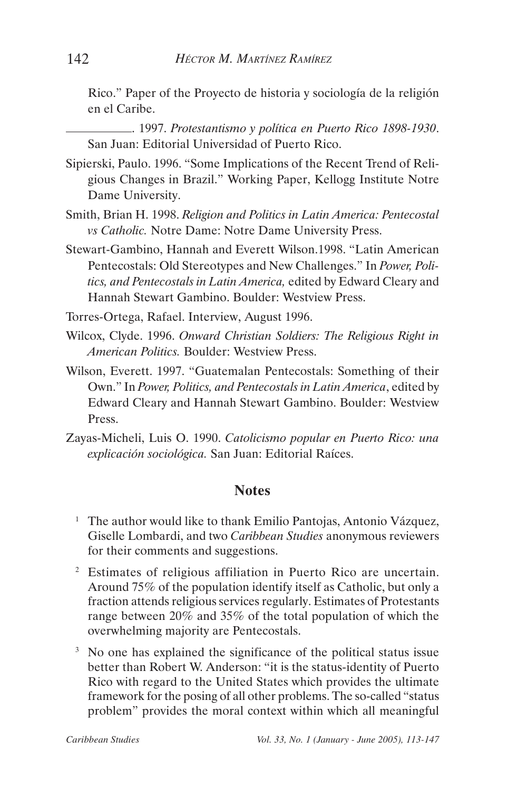Rico." Paper of the Proyecto de historia y sociología de la religión en el Caribe.

. 1997. *Protestantismo y política en Puerto Rico 1898-1930*. San Juan: Editorial Universidad of Puerto Rico.

- Sipierski, Paulo. 1996. "Some Implications of the Recent Trend of Religious Changes in Brazil." Working Paper, Kellogg Institute Notre Dame University.
- Smith, Brian H. 1998. *Religion and Politics in Latin America: Pentecostal vs Catholic.* Notre Dame: Notre Dame University Press.
- Stewart-Gambino, Hannah and Everett Wilson.1998. "Latin American Pentecostals: Old Stereotypes and New Challenges." In *Power, Politics, and Pentecostals in Latin America,* edited by Edward Cleary and Hannah Stewart Gambino. Boulder: Westview Press.

Torres-Ortega, Rafael. Interview, August 1996.

- Wilcox, Clyde. 1996. *Onward Christian Soldiers: The Religious Right in American Politics.* Boulder: Westview Press.
- Wilson, Everett. 1997. "Guatemalan Pentecostals: Something of their Own." In *Power, Politics, and Pentecostals in Latin America*, edited by Edward Cleary and Hannah Stewart Gambino. Boulder: Westview Press.
- Zayas-Micheli, Luis O. 1990. *Catolicismo popular en Puerto Rico: una explicación sociológica.* San Juan: Editorial Raíces.

#### **Notes**

- <sup>1</sup> The author would like to thank Emilio Pantojas, Antonio Vázquez, Giselle Lombardi, and two *Caribbean Studies* anonymous reviewers for their comments and suggestions.
- 2 Estimates of religious affiliation in Puerto Rico are uncertain. Around 75% of the population identify itself as Catholic, but only a fraction attends religious services regularly. Estimates of Protestants range between 20% and 35% of the total population of which the overwhelming majority are Pentecostals.
- <sup>3</sup> No one has explained the significance of the political status issue better than Robert W. Anderson: "it is the status-identity of Puerto Rico with regard to the United States which provides the ultimate framework for the posing of all other problems. The so-called "status problem" provides the moral context within which all meaningful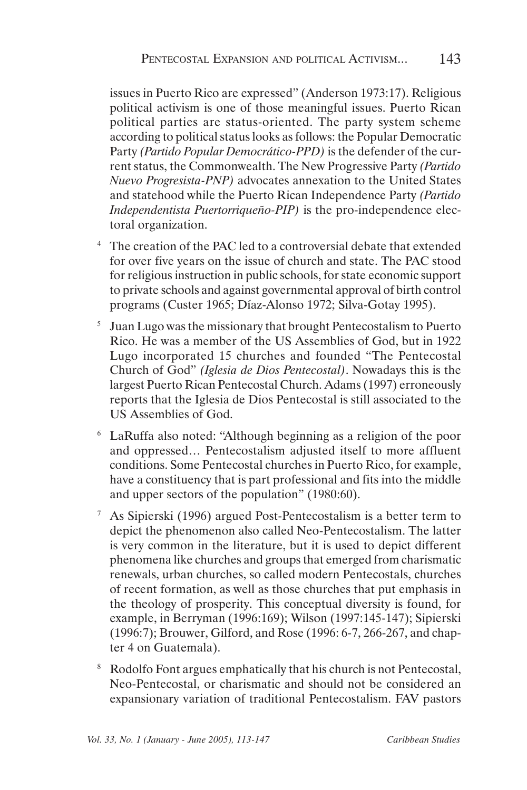issues in Puerto Rico are expressed" (Anderson 1973:17). Religious political activism is one of those meaningful issues. Puerto Rican political parties are status-oriented. The party system scheme according to political status looks as follows: the Popular Democratic Party *(Partido Popular Democrático-PPD)* is the defender of the current status, the Commonwealth. The New Progressive Party *(Partido Nuevo Progresista-PNP)* advocates annexation to the United States and statehood while the Puerto Rican Independence Party *(Partido Independentista Puertorriqueño-PIP)* is the pro-independence electoral organization.

- The creation of the PAC led to a controversial debate that extended for over five years on the issue of church and state. The PAC stood for religious instruction in public schools, for state economic support to private schools and against governmental approval of birth control programs (Custer 1965; Díaz-Alonso 1972; Silva-Gotay 1995).
- <sup>5</sup> Juan Lugo was the missionary that brought Pentecostalism to Puerto Rico. He was a member of the US Assemblies of God, but in 1922 Lugo incorporated 15 churches and founded "The Pentecostal Church of God" *(Iglesia de Dios Pentecostal)*. Nowadays this is the largest Puerto Rican Pentecostal Church. Adams (1997) erroneously reports that the Iglesia de Dios Pentecostal is still associated to the US Assemblies of God.
- 6 LaRuffa also noted: "Although beginning as a religion of the poor and oppressed… Pentecostalism adjusted itself to more affluent conditions. Some Pentecostal churches in Puerto Rico, for example, have a constituency that is part professional and fits into the middle and upper sectors of the population" (1980:60).
- 7 As Sipierski (1996) argued Post-Pentecostalism is a better term to depict the phenomenon also called Neo-Pentecostalism. The latter is very common in the literature, but it is used to depict different phenomena like churches and groups that emerged from charismatic renewals, urban churches, so called modern Pentecostals, churches of recent formation, as well as those churches that put emphasis in the theology of prosperity. This conceptual diversity is found, for example, in Berryman (1996:169); Wilson (1997:145-147); Sipierski (1996:7); Brouwer, Gilford, and Rose (1996: 6-7, 266-267, and chapter 4 on Guatemala).
- <sup>8</sup> Rodolfo Font argues emphatically that his church is not Pentecostal, Neo-Pentecostal, or charismatic and should not be considered an expansionary variation of traditional Pentecostalism. FAV pastors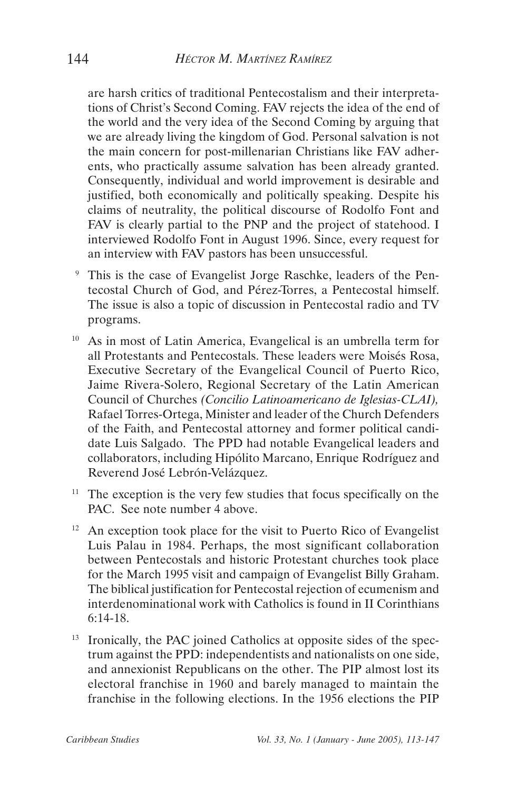are harsh critics of traditional Pentecostalism and their interpretations of Christ's Second Coming. FAV rejects the idea of the end of the world and the very idea of the Second Coming by arguing that we are already living the kingdom of God. Personal salvation is not the main concern for post-millenarian Christians like FAV adherents, who practically assume salvation has been already granted. Consequently, individual and world improvement is desirable and justified, both economically and politically speaking. Despite his claims of neutrality, the political discourse of Rodolfo Font and FAV is clearly partial to the PNP and the project of statehood. I interviewed Rodolfo Font in August 1996. Since, every request for an interview with FAV pastors has been unsuccessful.

- This is the case of Evangelist Jorge Raschke, leaders of the Pentecostal Church of God, and Pérez-Torres, a Pentecostal himself. The issue is also a topic of discussion in Pentecostal radio and TV programs.
- 10 As in most of Latin America, Evangelical is an umbrella term for all Protestants and Pentecostals. These leaders were Moisés Rosa, Executive Secretary of the Evangelical Council of Puerto Rico, Jaime Rivera-Solero, Regional Secretary of the Latin American Council of Churches *(Concilio Latinoamericano de Iglesias-CLAI),*  Rafael Torres-Ortega, Minister and leader of the Church Defenders of the Faith, and Pentecostal attorney and former political candidate Luis Salgado. The PPD had notable Evangelical leaders and collaborators, including Hipólito Marcano, Enrique Rodríguez and Reverend José Lebrón-Velázquez.
- <sup>11</sup> The exception is the very few studies that focus specifically on the PAC. See note number 4 above.
- $12$  An exception took place for the visit to Puerto Rico of Evangelist Luis Palau in 1984. Perhaps, the most significant collaboration between Pentecostals and historic Protestant churches took place for the March 1995 visit and campaign of Evangelist Billy Graham. The biblical justification for Pentecostal rejection of ecumenism and interdenominational work with Catholics is found in II Corinthians 6:14-18.
- <sup>13</sup> Ironically, the PAC joined Catholics at opposite sides of the spectrum against the PPD: independentists and nationalists on one side, and annexionist Republicans on the other. The PIP almost lost its electoral franchise in 1960 and barely managed to maintain the franchise in the following elections. In the 1956 elections the PIP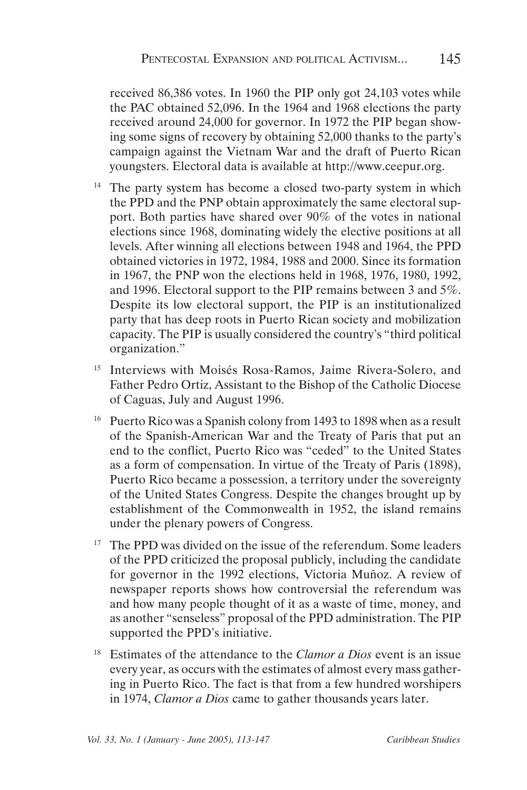received 86,386 votes. In 1960 the PIP only got 24,103 votes while the PAC obtained 52,096. In the 1964 and 1968 elections the party received around 24,000 for governor. In 1972 the PIP began showing some signs of recovery by obtaining 52,000 thanks to the party's campaign against the Vietnam War and the draft of Puerto Rican youngsters. Electoral data is available at http://www.ceepur.org.

- <sup>14</sup> The party system has become a closed two-party system in which the PPD and the PNP obtain approximately the same electoral support. Both parties have shared over 90% of the votes in national elections since 1968, dominating widely the elective positions at all levels. After winning all elections between 1948 and 1964, the PPD obtained victories in 1972, 1984, 1988 and 2000. Since its formation in 1967, the PNP won the elections held in 1968, 1976, 1980, 1992, and 1996. Electoral support to the PIP remains between 3 and 5%. Despite its low electoral support, the PIP is an institutionalized party that has deep roots in Puerto Rican society and mobilization capacity. The PIP is usually considered the country's "third political organization."
- <sup>15</sup> Interviews with Moisés Rosa-Ramos, Jaime Rivera-Solero, and Father Pedro Ortiz, Assistant to the Bishop of the Catholic Diocese of Caguas, July and August 1996.
- <sup>16</sup> Puerto Rico was a Spanish colony from 1493 to 1898 when as a result of the Spanish-American War and the Treaty of Paris that put an end to the conflict, Puerto Rico was "ceded" to the United States as a form of compensation. In virtue of the Treaty of Paris (1898), Puerto Rico became a possession, a territory under the sovereignty of the United States Congress. Despite the changes brought up by establishment of the Commonwealth in 1952, the island remains under the plenary powers of Congress.
- <sup>17</sup> The PPD was divided on the issue of the referendum. Some leaders of the PPD criticized the proposal publicly, including the candidate for governor in the 1992 elections, Victoria Muñoz. A review of newspaper reports shows how controversial the referendum was and how many people thought of it as a waste of time, money, and as another "senseless" proposal of the PPD administration. The PIP supported the PPD's initiative.
- 18 Estimates of the attendance to the *Clamor a Dios* event is an issue every year, as occurs with the estimates of almost every mass gathering in Puerto Rico. The fact is that from a few hundred worshipers in 1974, *Clamor a Dios* came to gather thousands years later.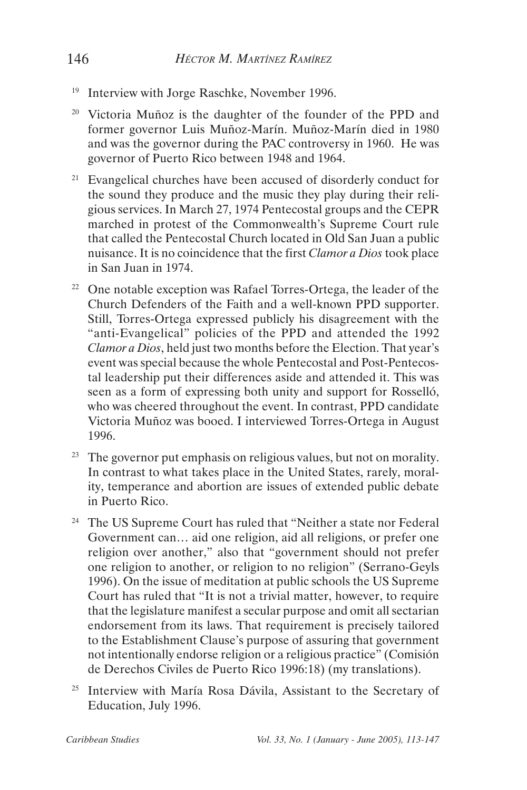- <sup>19</sup> Interview with Jorge Raschke, November 1996.
- 20 Victoria Muñoz is the daughter of the founder of the PPD and former governor Luis Muñoz-Marín. Muñoz-Marín died in 1980 and was the governor during the PAC controversy in 1960. He was governor of Puerto Rico between 1948 and 1964.
- $21$  Evangelical churches have been accused of disorderly conduct for the sound they produce and the music they play during their religious services. In March 27, 1974 Pentecostal groups and the CEPR marched in protest of the Commonwealth's Supreme Court rule that called the Pentecostal Church located in Old San Juan a public nuisance. It is no coincidence that the first *Clamor a Dios* took place in San Juan in 1974.
- <sup>22</sup> One notable exception was Rafael Torres-Ortega, the leader of the Church Defenders of the Faith and a well-known PPD supporter. Still, Torres-Ortega expressed publicly his disagreement with the "anti-Evangelical" policies of the PPD and attended the 1992 *Clamor a Dios*, held just two months before the Election. That year's event was special because the whole Pentecostal and Post-Pentecostal leadership put their differences aside and attended it. This was seen as a form of expressing both unity and support for Rosselló, who was cheered throughout the event. In contrast, PPD candidate Victoria Muñoz was booed. I interviewed Torres-Ortega in August 1996.
- <sup>23</sup> The governor put emphasis on religious values, but not on morality. In contrast to what takes place in the United States, rarely, morality, temperance and abortion are issues of extended public debate in Puerto Rico.
- <sup>24</sup> The US Supreme Court has ruled that "Neither a state nor Federal Government can… aid one religion, aid all religions, or prefer one religion over another," also that "government should not prefer one religion to another, or religion to no religion" (Serrano-Geyls 1996). On the issue of meditation at public schools the US Supreme Court has ruled that "It is not a trivial matter, however, to require that the legislature manifest a secular purpose and omit all sectarian endorsement from its laws. That requirement is precisely tailored to the Establishment Clause's purpose of assuring that government not intentionally endorse religion or a religious practice" (Comisión de Derechos Civiles de Puerto Rico 1996:18) (my translations).
- <sup>25</sup> Interview with María Rosa Dávila, Assistant to the Secretary of Education, July 1996.